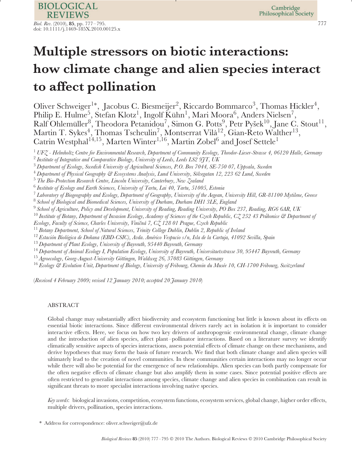# **Multiple stressors on biotic interactions: how climate change and alien species interact to affect pollination**

Oliver Schweiger<sup>1∗</sup>, Jacobus C. Biesmeijer<sup>2</sup>, Riccardo Bommarco<sup>3</sup>, Thomas Hickler<sup>4</sup>, Philip E. Hulme<sup>5</sup>, Stefan Klotz<sup>1</sup>, Ingolf Kühn<sup>1</sup>, Mari Moora<sup>6</sup>, Anders Nielsen<sup>7</sup>, Ralf Ohlemüller<sup>8</sup>, Theodora Petanidou<sup>7</sup>, Simon G. Potts<sup>9</sup>, Petr Pyšek<sup>10</sup>, Jane C. Stout<sup>11</sup>, Martin T. Sykes $^4$ , Thomas Tscheulin $^7$ , Montserrat Vilà $^{12}$ , Gian-Reto Walther $^{13},$ Catrin Westphal $^{14,15},$  Marten Winter $^{1,16},$  Martin Zobel $^6$  and Josef Settele $^1$ 

<sup>6</sup> *Institute of Ecology and Earth Sciences, University of Tartu, Lai 40, Tartu, 51005, Estonia*

<sup>7</sup> *Laboratory of Biogeography and Ecology, Department of Geography, University of the Aegean, University Hill, GR-81100 Mytilene, Greece*

<sup>8</sup> *School of Biological and Biomedical Sciences, University of Durham, Durham DH1 3LE, England*

<sup>9</sup> *School of Agriculture, Policy and Development, University of Reading, Reading University, PO Box 237, Reading, RG6 6AR, UK*

<sup>10</sup> Institute of Botany, Department of Invasion Ecology, Academy of Sciences of the Czech Republic, CZ 252 43 Pruhonice & Department of

*Ecology, Faculty of Science, Charles University, Viniˇcn´a 7, CZ 128 01 Prague, Czech Republic*

<sup>11</sup> *Botany Department, School of Natural Sciences, Trinity College Dublin, Dublin 2, Republic of Ireland*

<sup>12</sup> Estación Biológica de Doñana (EBD-CSIC), Avda. Américo Vespucio s/n, Isla de la Cartuja, 41092 Sevilla, Spain

<sup>13</sup> *Department of Plant Ecology, University of Bayreuth, 95440 Bayreuth, Germany*

<sup>14</sup> *Department of Animal Ecology I, Population Ecology, University of Bayreuth, Universitaetsstrasse 30, 95447 Bayreuth, Germany*

<sup>15</sup> Agroecology, Georg-August-University Göttingen, Waldweg 26, 37083 Göttingen, Germany

<sup>16</sup> Ecology & Evolution Unit, Department of Biology, University of Fribourg, Chemin du Musée 10, CH-1700 Fribourg, Switzerland

(*Received 4 February 2009; revised 12 January 2010; accepted 20 January 2010*)

# ABSTRACT

Global change may substantially affect biodiversity and ecosystem functioning but little is known about its effects on essential biotic interactions. Since different environmental drivers rarely act in isolation it is important to consider interactive effects. Here, we focus on how two key drivers of anthropogenic environmental change, climate change and the introduction of alien species, affect plant–pollinator interactions. Based on a literature survey we identify climatically sensitive aspects of species interactions, assess potential effects of climate change on these mechanisms, and derive hypotheses that may form the basis of future research. We find that both climate change and alien species will ultimately lead to the creation of novel communities. In these communities certain interactions may no longer occur while there will also be potential for the emergence of new relationships. Alien species can both partly compensate for the often negative effects of climate change but also amplify them in some cases. Since potential positive effects are often restricted to generalist interactions among species, climate change and alien species in combination can result in significant threats to more specialist interactions involving native species.

*Key words*: biological invasions, competition, ecosystem functions, ecosystem services, global change, higher order effects, multiple drivers, pollination, species interactions.

Address for correspondence: oliver.schweiger@ufz.de

<sup>1</sup> *UFZ - Helmholtz Centre for Environmental Research, Department of Community Ecology, Theodor-Lieser-Strasse 4, 06120 Halle, Germany*

<sup>2</sup> *Institute of Integrative and Comparative Biology, University of Leeds, Leeds LS2 9JT, UK*

<sup>3</sup> *Department of Ecology, Swedish University of Agricultural Sciences, P.O. Box 7044, SE-750 07, Uppsala, Sweden*

<sup>4</sup> *Department of Physical Geography & Ecosystems Analysis, Lund University, S¨olvegatan 12, 223 62 Lund, Sweden*

<sup>5</sup> *The Bio-Protection Research Centre, Lincoln University, Canterbury, New Zealand*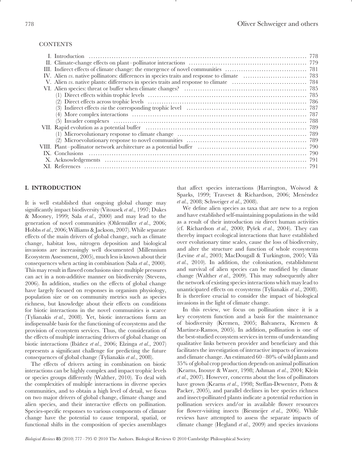## **CONTENTS**

# **I. INTRODUCTION**

It is well established that ongoing global change may significantly impact biodiversity (Vitousek *et al*., 1997; Dukes & Mooney, 1999; Sala *et al*., 2000) and may lead to the generation of novel communities (Ohlemüller *et al.*, 2006; Hobbs*et al*., 2006; Williams & Jackson, 2007). While separate effects of the main drivers of global change, such as climate change, habitat loss, nitrogen deposition and biological invasions are increasingly well documented (Millennium Ecosystem Assessment, 2005), much less is known about their consequences when acting in combination (Sala *et al*., 2000). This may result in flawed conclusions since multiple pressures can act in a non-additive manner on biodiversity (Stevens, 2006). In addition, studies on the effects of global change have largely focused on responses in organism physiology, population size or on community metrics such as species richness, but knowledge about their effects on conditions for biotic interactions in the novel communities is scarce (Tylianakis *et al*., 2008). Yet, biotic interactions form an indispensable basis for the functioning of ecosystems and the provision of ecosystem services. Thus, the consideration of the effects of multiple interacting drivers of global change on biotic interactions (Ibáñez et al., 2006; Elzinga et al., 2007) represents a significant challenge for predicting the future consequences of global change (Tylianakis *et al*., 2008).

The effects of drivers acting in combination on biotic interactions can be highly complex and impact trophic levels or species groups differently (Walther, 2010). To deal with the complexities of multiple interactions in diverse species communities, and to obtain a high level of detail, we focus on two major drivers of global change, climate change and alien species, and their interactive effects on pollination. Species-specific responses to various components of climate change have the potential to cause temporal, spatial, or functional shifts in the composition of species assemblages that affect species interactions (Harrington, Woiwod & Sparks, 1999; Traveset & Richardson, 2006; Menéndez *et al*., 2008; Schweiger *et al*., 2008).

We define alien species as taxa that are new to a region and have established self-maintaining populations in the wild as a result of their introduction *via* direct human activities (cf. Richardson *et al.*, 2000; Pyšek *et al.*, 2004). They can thereby impact ecological interactions that have established over evolutionary time scales, cause the loss of biodiversity, and alter the structure and function of whole ecosystems (Levine *et al*., 2003; MacDougall & Turkington, 2005; Vila` *et al*., 2010). In addition, the colonisation, establishment and survival of alien species can be modified by climate change (Walther *et al*., 2009). This may subsequently alter the network of existing species interactions which may lead to unanticipated effects on ecosystems (Tylianakis *et al*., 2008). It is therefore crucial to consider the impact of biological invasions in the light of climate change.

In this review, we focus on pollination since it is a key ecosystem function and a basis for the maintenance of biodiversity (Kremen, 2005; Balvanera, Kremen & Martinez-Ramos, 2005). In addition, pollination is one of the best-studied ecosystem services in terms of understanding qualitative links between provider and beneficiary and this facilitates the investigation of interactive impacts of invasions and climate change. An estimated 60–80% of wild plants and 35% of global crop production depends on animal pollination (Kearns, Inouye & Waser, 1998; Ashman *et al*., 2004; Klein *et al*., 2007). However, concerns about the loss of pollinators have grown (Kearns *et al*., 1998; Steffan-Dewenter, Potts & Packer, 2005), and parallel declines in bee species richness and insect-pollinated plants indicate a potential reduction in pollination services and/or in available flower resources for flower-visiting insects (Biesmeijer *et al*., 2006). While reviews have attempted to assess the separate impacts of climate change (Hegland *et al*., 2009) and species invasions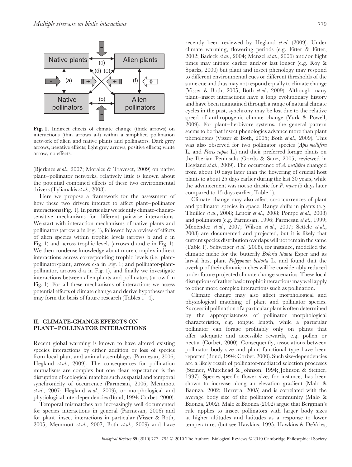

**Fig. 1.** Indirect effects of climate change (thick arrows) on interactions (thin arrows a-f) within a simplified pollination network of alien and native plants and pollinators. Dark grey arrows, negative effects; light grey arrows, positive effects; white arrow, no effects.

(Bjerknes *et al*., 2007; Morales & Traveset, 2009) on native plant–pollinator networks, relatively little is known about the potential combined effects of these two environmental drivers (Tylianakis *et al*., 2008).

Here we propose a framework for the assessment of how these two drivers interact to affect plant–pollinator interactions (Fig. 1). In particular we identify climate-changesensitive mechanisms for different pairwise interactions. We start with interaction mechanisms of native plants and pollinators (arrow a in Fig. 1), followed by a review of effects of alien species within trophic levels (arrows b and c in Fig. 1) and across trophic levels (arrows d and e in Fig. 1). We then condense knowledge about more complex indirect interactions across corresponding trophic levels (i.e. plantpollinator-plant, arrows e-a in Fig. 1; and pollinator-plantpollinator, arrows d-a in Fig. 1), and finally we investigate interactions between alien plants and pollinators (arrow f in Fig. 1). For all these mechanisms of interactions we assess potential effects of climate change and derive hypotheses that may form the basis of future research (Tables  $1-4$ ).

## **II. CLIMATE-CHANGE EFFECTS ON PLANT–POLLINATOR INTERACTIONS**

Recent global warming is known to have altered existing species interactions by either addition or loss of species from local plant and animal assemblages (Parmesan, 2006; Hegland *et al*., 2009). The consequences for pollination mutualisms are complex but one clear expectation is the disruption of ecological matches such as spatial and temporal synchronicity of occurrence (Parmesan, 2006; Memmott *et al*., 2007; Hegland *et al*., 2009), or morphological and physiological interdependencies (Bond, 1994; Corbet, 2000).

Temporal mismatches are increasingly well documented for species interactions in general (Parmesan, 2006) and for plant–insect interactions in particular (Visser & Both, 2005; Memmott *et al*., 2007; Both *et al*., 2009) and have recently been reviewed by Hegland *et al*. (2009). Under climate warming, flowering periods (e.g. Fitter & Fitter, 2002; Badeck *et al*., 2004; Menzel *et al*., 2006) and/or flight times may initiate earlier and/or last longer (e.g. Roy & Sparks, 2000) but plant and insect phenology may respond to different environmental cues or different thresholds of the same cue and thus may not respond equally to climate change (Visser & Both, 2005; Both *et al*., 2009). Although many plant–insect interactions have a long evolutionary history and have been maintained through a range of natural climate cycles in the past, synchrony may be lost due to the relative speed of anthropogenic climate change (Yurk & Powell, 2009). For plant–herbivore systems, the general pattern seems to be that insect phenologies advance more than plant phenologies (Visser & Both, 2005; Both *et al*., 2009). This was also observed for two pollinator species (*Apis mellifera* L. and *Pieris rapae* L.) and their preferred forage plants on the Iberian Peninsula (Gordo & Sanz, 2005; reviewed in Hegland *et al*., 2009). The occurrence of *A. mellifera* changed from about 10 days later than the flowering of crucial host plants to about 25 days earlier during the last 30 years, while the advancement was not so drastic for *P. rapae* (5 days later compared to 15 days earlier; Table 1).

Climate change may also affect co-occurrences of plant and pollinator species in space. Range shifts in plants (e.g. Thuiller *et al*., 2008; Lenoir *et al*., 2008; Pompe *et al*., 2008) and pollinators (e.g. Parmesan, 1996; Parmesan *et al*., 1999; Menéndez et al., 2007; Wilson et al., 2007; Settele et al., 2008) are documented and projected, but it is likely that current species distribution overlaps will not remain the same (Table 1). Schweiger *et al*. (2008), for instance, modelled the climatic niche for the butterfly *Boloria titania* Esper and its larval host plant *Polygonum bistorta* L. and found that the overlap of their climatic niches will be considerably reduced under future projected climate change scenarios. These local disruptions of rather basic trophic interactions may well apply to other more complex interactions such as pollination.

Climate change may also affect morphological and physiological matching of plant and pollinator species. Successful pollination of a particular plant is often determined by the appropriateness of pollinator morphological characteristics, e.g. tongue length, while a particular pollinator can forage profitably only on plants that offer adequate and accessible rewards, e.g. pollen or nectar (Corbet, 2000). Consequently, associations between pollinator body size and plant functional type have been reported (Bond, 1994; Corbet, 2000). Such size-dependencies are a likely result of pollinator-mediated selection processes (Steiner, Whitehead & Johnson, 1994; Johnson & Steiner, 1997). Species-specific flower size, for instance, has been shown to increase along an elevation gradient (Malo & Baonza, 2002; Herrera, 2005) and is correlated with the average body size of the pollinator community (Malo & Baonza, 2002). Malo & Baonza (2002) argue that Bergman's rule applies to insect pollinators with larger body sizes at higher altitudes and latitudes as a response to lower temperatures (but see Hawkins, 1995; Hawkins & DeVries,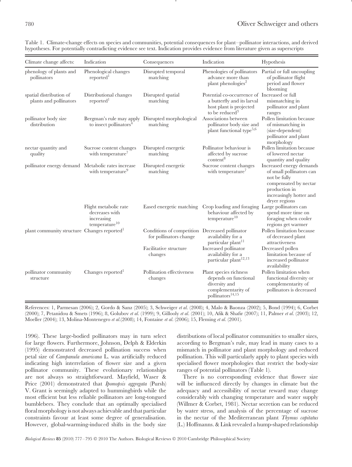| Climate change affects:                                 | Indication                                                                             | Consequences                                                             | Indication                                                                                                                          | Hypothesis                                                                                                                                                 |
|---------------------------------------------------------|----------------------------------------------------------------------------------------|--------------------------------------------------------------------------|-------------------------------------------------------------------------------------------------------------------------------------|------------------------------------------------------------------------------------------------------------------------------------------------------------|
| phenology of plants and<br>pollinators                  | Phenological changes<br>reported <sup>1</sup>                                          | Disrupted temporal<br>matching                                           | Phenologies of pollinators<br>advance more than<br>plant phenologies <sup>2</sup>                                                   | Partial or full uncoupling<br>of pollinator flight<br>period and flower<br>blooming                                                                        |
| spatial distribution of<br>plants and pollinators       | Distributional changes<br>reported <sup>1</sup>                                        | Disrupted spatial<br>matching                                            | Potential co-occurrence of Increased or full<br>a butterfly and its larval<br>host plant is projected<br>to be reduced <sup>3</sup> | mismatching in<br>pollinator and plant<br>ranges                                                                                                           |
| pollinator body size<br>distribution                    | Bergman's rule may apply Disrupted morphological<br>to insect pollinators <sup>4</sup> | matching                                                                 | Associations between<br>pollinator body size and<br>plant functional type <sup>5,6</sup>                                            | Pollen limitation because<br>of mismatching in<br>(size-dependent)<br>pollinator and plant<br>morphology                                                   |
| nectar quantity and<br>quality                          | Sucrose content changes<br>with temperature <sup>7</sup>                               | Disrupted energetic<br>matching                                          | Pollinator behaviour is<br>affected by sucrose<br>$\mbox{content}^8$                                                                | Pollen limitation because<br>of lowered nectar<br>quantity and quality                                                                                     |
| pollinator energy demand Metabolic rates increase       | with temperature <sup>9</sup>                                                          | Disrupted energetic<br>matching                                          | Sucrose content changes<br>with temperature <sup>7</sup>                                                                            | Increased energy demands<br>of small pollinators can<br>not be fully<br>compensated by nectar<br>production in<br>increasingly hotter and<br>dryer regions |
|                                                         | Flight metabolic rate<br>decreases with<br>increasing<br>temperature <sup>10</sup>     | Eased energetic matching                                                 | Crop loading and foraging Large pollinators can<br>behaviour affected by<br>temperature <sup>10</sup>                               | spend more time on<br>foraging when cooler<br>regions get warmer                                                                                           |
| plant community structure Changes reported <sup>1</sup> |                                                                                        | Conditions of competition Decreased pollinator<br>for pollinators change | availability for a<br>particular plant <sup>11</sup>                                                                                | Pollen limitation because<br>of decreased plant<br>attractiveness                                                                                          |
|                                                         |                                                                                        | Facilitative structure<br>changes                                        | Increased pollinator<br>availability for a<br>particular plant <sup>12,13</sup>                                                     | Decreased pollen<br>limitation because of<br>increased pollinator<br>availability                                                                          |
| pollinator community<br>structure                       | Changes reported <sup>1</sup>                                                          | Pollination effectiveness<br>changes                                     | Plant species richness<br>depends on functional<br>diversity and<br>complementarity of<br>pollinators <sup>14,15</sup>              | Pollen limitation when<br>functional diversity or<br>complementarity of<br>pollinators is decreased                                                        |

Table 1. Climate-change effects on species and communities, potential consequences for plant–pollinator interactions, and derived hypotheses. For potentially contradicting evidence see text. Indication provides evidence from literature given as superscripts

References: 1, Parmesan (2006); 2, Gordo & Sanz (2005); 3, Schweiger *et al*. (2008); 4, Malo & Baonza (2002); 5, Bond (1994); 6, Corbet (2000); 7, Petanidou & Smets (1996); 8, Golubov *et al*. (1999); 9, Gillooly *et al*. (2001); 10, Afik & Shafir (2007); 11, Palmer *et al*. (2003); 12, Moeller (2004); 13, Molina-Montenegro *et al*.(2008); 14, Fontaine *et al*. (2006); 15, Fleming *et al*. (2001).

1996). These large-bodied pollinators may in turn select for large flowers. Furthermore, Johnson, Delph & Elderkin (1995) demonstrated decreased pollination success when petal size of *Campanula americana* L. was artificially reduced indicating high interrelation of flower size and a given pollinator community. These evolutionary relationships are not always so straightforward. Mayfield, Waser & Price (2001) demonstrated that *Ipomopsis aggregata* (Pursh) V. Grant is seemingly adapted to hummingbirds while the most efficient but less reliable pollinators are long-tongued bumblebees. They conclude that an optimally specialised floral morphology is not always achievable and that particular constraints favour at least some degree of generalisation. However, global-warming-induced shifts in the body size

distributions of local pollinator communities to smaller sizes, according to Bergman's rule, may lead in many cases to a mismatch in pollinator and plant morphology and reduced pollination. This will particularly apply to plant species with specialised flower morphologies that restrict the body-size ranges of potential pollinators (Table 1).

There is no corresponding evidence that flower size will be influenced directly by changes in climate but the adequacy and accessibility of nectar reward may change considerably with changing temperature and water supply (Willmer & Corbet, 1981). Nectar secretion can be reduced by water stress, and analysis of the percentage of sucrose in the nectar of the Mediterranean plant *Thymus capitatus* (L.) Hoffmanns. & Link revealed a hump-shaped relationship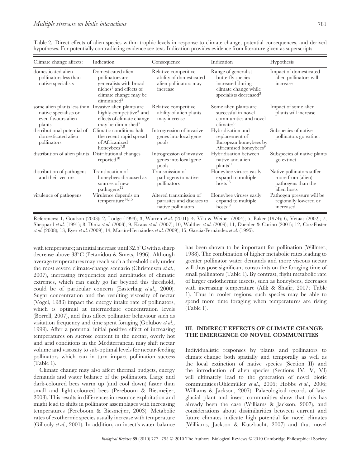| Climate change affects:                                                                                        | Indication                                                                                                                                                | Consequence                                                                          | Indication                                                                                                                 | Hypothesis                                                                          |
|----------------------------------------------------------------------------------------------------------------|-----------------------------------------------------------------------------------------------------------------------------------------------------------|--------------------------------------------------------------------------------------|----------------------------------------------------------------------------------------------------------------------------|-------------------------------------------------------------------------------------|
| domesticated alien<br>pollinators less than<br>native specialists                                              | Domesticated alien<br>pollinators are<br>generalists with broad<br>niches <sup>1</sup> and effects of<br>climate change may be<br>diminished <sup>2</sup> | Relative competitive<br>ability of domesticated<br>alien pollinators may<br>increase | Range of generalist<br>butterfly species<br>increased during<br>climate change while<br>specialists decreased <sup>3</sup> | Impact of domesticated<br>alien pollinators will<br>increase                        |
| some alien plants less than Invasive alien plants are<br>native specialists or<br>even favours alien<br>plants | highly competitive <sup>4</sup> and<br>effects of climate change<br>may be diminished <sup>5</sup>                                                        | Relative competitive<br>ability of alien plants<br>may increase                      | Some alien plants are<br>successful in novel<br>communities and novel<br>climates <sup>6</sup>                             | Impact of some alien<br>plants will increase                                        |
| distributional potential of<br>domesticated alien<br>pollinators                                               | Climatic conditions halt<br>the recent rapid spread<br>of Africanized<br>honeybees <sup>7,8</sup>                                                         | Introgression of invasive<br>genes into local gene<br>pools                          | Hybridisation and<br>replacement of<br>European honeybees by<br>Africanised honeybees <sup>9</sup>                         | Subspecies of native<br>pollinators go extinct                                      |
| distribution of alien plants                                                                                   | Distributional changes<br>reported <sup>10</sup>                                                                                                          | Introgression of invasive<br>genes into local gene<br>pools                          | Hybridisation between<br>native and alien<br>plants <sup>11</sup>                                                          | Subspecies of native plants<br>go extinct                                           |
| distribution of pathogens<br>and their vectors                                                                 | Translocation of<br>honeybees discussed as<br>sources of new<br>pathogens <sup>12</sup>                                                                   | Transmission of<br>pathogens to native<br>pollinators                                | Honeybee viruses easily<br>expand to multiple<br>$hosts$ <sup>13</sup>                                                     | Native pollinators suffer<br>more from (alien)<br>pathogens than the<br>alien hosts |
| virulence of pathogens                                                                                         | Virulence depends on<br>temperature <sup>14,15</sup>                                                                                                      | Altered transmission of<br>parasites and diseases to<br>native pollinators           | Honeybee viruses easily<br>expand to multiple<br>$\text{hosts}^{13}$                                                       | Pathogen pressure will be<br>regionally lowered or<br>increased                     |

Table 2. Direct effects of alien species within trophic levels in response to climate change, potential consequences, and derived hypotheses. For potentially contradicting evidence see text. Indication provides evidence from literature given as superscripts

References: 1, Goulson (2003); 2, Lodge (1993); 3, Warren *et al*. (2001); 4, Vila & Weiner (2004); 5, Baker (1974); 6, Vetaas (2002); 7, ` Sheppard *et al*. (1991); 8, Diniz *et al*. (2003); 9, Kraus *et al*. (2007); 10, Walther *et al*. (2009); 11, Daehler & Carino (2001); 12, Cox-Foster *et al.* (2008); 13, Eyer *et al.* (2009); 14, Martín-Hernández *et al.* (2009); 15, García-Fernández *et al.* (1995).

with temperature; an initial increase until 32.5 $^{\circ}\mathrm{C}$  with a sharp decrease above 38◦ C (Petanidou & Smets, 1996). Although average temperatures may reach such a threshold only under the most severe climate-change scenario (Christensen *et al*., 2007), increasing frequencies and amplitudes of climatic extremes, which can easily go far beyond this threshold, could be of particular concern (Easterling *et al*., 2000). Sugar concentration and the resulting viscosity of nectar (Vogel, 1983) impact the energy intake rate of pollinators, which is optimal at intermediate concentration levels (Borrell, 2007), and thus affect pollinator behaviour such as visitation frequency and time spent foraging (Golubov *et al*., 1999). After a potential initial positive effect of increasing temperatures on sucrose content in the nectar, overly hot and arid conditions in the Mediterranean may shift nectar volume and viscosity to sub-optimal levels for nectar-feeding pollinators which can in turn impact pollination success (Table 1).

Climate change may also affect thermal budgets, energy demands and water balance of the pollinators. Large and dark-coloured bees warm up (and cool down) faster than small and light-coloured bees (Pereboom & Biesmeijer, 2003). This results in differences in resource exploitation and might lead to shifts in pollinator assemblages with increasing temperatures (Pereboom & Biesmeijer, 2003). Metabolic rates of exothermic species usually increase with temperature (Gillooly *et al*., 2001). In addition, an insect's water balance has been shown to be important for pollination (Willmer, 1988). The combination of higher metabolic rates leading to greater pollinator water demands and more viscous nectar will thus pose significant constraints on the foraging time of small pollinators (Table 1). By contrast, flight metabolic rate of larger endothermic insects, such as honeybees, decreases with increasing temperature (Afik & Shafir, 2007; Table 1). Thus in cooler regions, such species may be able to spend more time foraging when temperatures are rising (Table 1).

## **III. INDIRECT EFFECTS OF CLIMATE CHANGE: THE EMERGENCE OF NOVEL COMMUNITIES**

Individualistic responses by plants and pollinators to climate change both spatially and temporally as well as the local extinction of native species (Section II) and the introduction of alien species (Sections IV, V, VI) will ultimately lead to the generation of novel biotic communities (Ohlem¨uller *et al*., 2006; Hobbs *et al*., 2006; Williams & Jackson, 2007). Palaeological records of lateglacial plant and insect communities show that this has already been the case (Williams & Jackson, 2007), and considerations about dissimilarities between current and future climates indicate high potential for novel climates (Williams, Jackson & Kutzbacht, 2007) and thus novel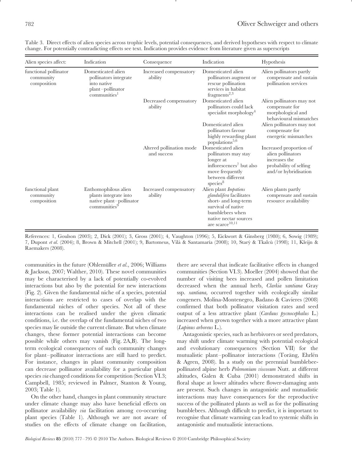| Alien species affect:                             | Indication                                                                                                     | Consequence                             | Indication                                                                                                                                                                        | Hypothesis                                                                                                      |
|---------------------------------------------------|----------------------------------------------------------------------------------------------------------------|-----------------------------------------|-----------------------------------------------------------------------------------------------------------------------------------------------------------------------------------|-----------------------------------------------------------------------------------------------------------------|
| functional pollinator<br>community<br>composition | Domesticated alien<br>pollinators integrate<br>into native<br>plant-pollinator<br>$commu n$ ities <sup>1</sup> | Increased compensatory<br>ability       | Domesticated alien<br>pollinators augment or<br>rescue pollination<br>services in habitat<br>fragments $^{2,3}$                                                                   | Alien pollinators partly<br>compensate and sustain<br>pollination services                                      |
|                                                   |                                                                                                                | Decreased compensatory<br>ability       | Domesticated alien<br>pollinators could lack<br>specialist morphology <sup>4</sup>                                                                                                | Alien pollinators may not<br>compensate for<br>morphological and<br>behavioural mismatches                      |
|                                                   |                                                                                                                |                                         | Domesticated alien<br>pollinators favour<br>highly rewarding plant<br>populations <sup>5,6</sup>                                                                                  | Alien pollinators may not<br>compensate for<br>energetic mismatches                                             |
|                                                   |                                                                                                                | Altered pollination mode<br>and success | Domesticated alien<br>pollinators may stay<br>longer at<br>inflorescences <sup>7</sup> but also<br>move frequently<br>between different<br>species <sup>8</sup>                   | Increased proportion of<br>alien pollinators<br>increases the<br>probability of selfing<br>and/or hybridisation |
| functional plant<br>community<br>composition      | Enthomophilous alien<br>plants integrate into<br>native plant-pollinator<br>communities $9$                    | Increased compensatory<br>ability       | Alien plant <i>Impatiens</i><br>glandulifera facilitates<br>short- and long-term<br>survival of native<br>bumblebees when<br>native nectar sources<br>are scarce <sup>10,11</sup> | Alien plants partly<br>compensate and sustain<br>resource availability                                          |

Table 3. Direct effects of alien species across trophic levels, potential consequences, and derived hypotheses with respect to climate change. For potentially contradicting effects see text. Indication provides evidence from literature given as superscripts

References: 1, Goulson (2003); 2, Dick (2001); 3, Gross (2001); 4, Vaughton (1996); 5, Eickwort & Ginsberg (1980); 6, Sowig (1989); 7, Dupont *et al.* (2004); 8, Brown & Mitchell (2001); 9, Bartomeus, Vilà & Santamaría (2008); 10, Starý & Tkalcù (1998); 11, Kleijn & Raemakers (2008).

communities in the future (Ohlemüller *et al.*, 2006; Williams & Jackson, 2007; Walther, 2010). These novel communities may be characterised by a lack of potentially co-evolved interactions but also by the potential for new interactions (Fig. 2). Given the fundamental niche of a species, potential interactions are restricted to cases of overlap with the fundamental niches of other species. Not all of these interactions can be realised under the given climatic conditions, i.e. the overlap of the fundamental niches of two species may lie outside the current climate. But when climate changes, these former potential interactions can become possible while others may vanish (Fig. 2A,B). The longterm ecological consequences of such community changes for plant–pollinator interactions are still hard to predict. For instance, changes in plant community composition can decrease pollinator availability for a particular plant species *via* changed conditions for competition (Section VI.3; Campbell, 1985; reviewed in Palmer, Stanton & Young, 2003; Table 1).

On the other hand, changes in plant community structure under climate change may also have beneficial effects on pollinator availability *via* facilitation among co-occurring plant species (Table 1). Although we are not aware of studies on the effects of climate change on facilitation, there are several that indicate facilitative effects in changed communities (Section VI.3). Moeller (2004) showed that the number of visiting bees increased and pollen limitation decreased when the annual herb, *Clarkia xantiana* Gray ssp. *xantiana,* occurred together with ecologically similar congeners. Molina-Montenegro, Badano & Cavieres (2008) confirmed that both pollinator visitation rates and seed output of a less attractive plant (*Carduus pycnocephalus* L.) increased when grown together with a more attractive plant (*Lupinus arboreus* L.).

Antagonistic species, such as herbivores or seed predators, may shift under climate warming with potential ecological and evolutionary consequences (Section VII) for the mutualistic plant–pollinator interactions (Toräng, Ehrlén & Agren, 2008). In a study on the perennial bumblebeepollinated alpine herb *Polemonium viscosum* Nutt. at different altitudes, Galen & Cuba (2001) demonstrated shifts in floral shape at lower altitudes where flower-damaging ants are present. Such changes in antagonistic and mutualistic interactions may have consequences for the reproductive success of the pollinated plants as well as for the pollinating bumblebees. Although difficult to predict, it is important to recognise that climate warming can lead to systemic shifts in antagonistic and mutualistic interactions.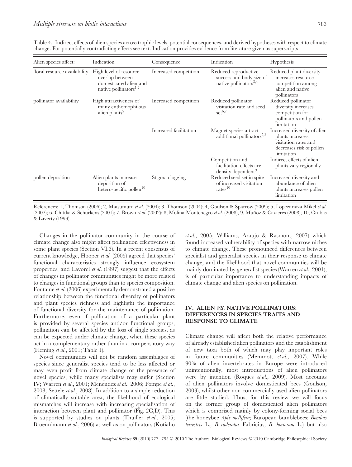| Alien species affect:        | Indication                                                                                               | Consequence            | Indication                                                                            | Hypothesis                                                                                                         |
|------------------------------|----------------------------------------------------------------------------------------------------------|------------------------|---------------------------------------------------------------------------------------|--------------------------------------------------------------------------------------------------------------------|
| floral resource availability | High level of resource<br>overlap between<br>domesticated alien and<br>native pollinators <sup>1,2</sup> | Increased competition  | Reduced reproductive<br>success and body size of<br>native pollinators <sup>3,4</sup> | Reduced plant diversity<br>increases resource<br>competition among<br>alien and native<br>pollinators              |
| pollinator availability      | High attractiveness of<br>many enthomophilous<br>alien plants <sup>5</sup>                               | Increased competition  | Reduced pollinator<br>visitation rate and seed<br>$set^{6,7}$                         | Reduced pollinator<br>diversity increases<br>competition for<br>pollinators and pollen<br>limitation               |
|                              |                                                                                                          | Increased facilitation | Magnet species attract<br>additional pollinators <sup>5,8</sup>                       | Increased diversity of alien<br>plants increases<br>visitation rates and<br>decreases risk of pollen<br>limitation |
|                              |                                                                                                          |                        | Competition and<br>facilitation effects are<br>density dependent <sup>9</sup>         | Indirect effects of alien<br>plants vary regionally                                                                |
| pollen deposition            | Alien plants increase<br>deposition of<br>heterospecific pollen <sup>10</sup>                            | Stigma clogging        | Reduced seed set in spite<br>of increased visitation<br>rates <sup>10</sup>           | Increased diversity and<br>abundance of alien<br>plants increases pollen<br>limitation                             |

Table 4. Indirect effects of alien species across trophic levels, potential consequences, and derived hypotheses with respect to climate change. For potentially contradicting effects see text. Indication provides evidence from literature given as superscripts

References: 1, Thomson (2006); 2, Matsumura *et al*. (2004); 3, Thomson (2004); 4, Goulson & Sparrow (2009); 5, Lopezaraiza-Mikel *et al*. (2007); 6, Chittka & Schürkens (2001); 7, Brown *et al.* (2002); 8, Molina-Montenegro *et al.* (2008), 9, Muñoz & Cavieres (2008); 10, Grabas & Laverty (1999).

Changes in the pollinator community in the course of climate change also might affect pollination effectiveness in some plant species (Section VI.3). In a recent consensus of current knowledge, Hooper *et al*. (2005) agreed that species' functional characteristics strongly influence ecosystem properties, and Lavorel *et al*. (1997) suggest that the effects of changes in pollinator communities might be more related to changes in functional groups than to species composition. Fontaine *et al*. (2006) experimentally demonstrated a positive relationship between the functional diversity of pollinators and plant species richness and highlight the importance of functional diversity for the maintenance of pollination. Furthermore, even if pollination of a particular plant is provided by several species and/or functional groups, pollination can be affected by the loss of single species, as can be expected under climate change, when these species act in a complementary rather than in a compensatory way (Fleming *et al*., 2001; Table 1).

Novel communities will not be random assemblages of species since generalist species tend to be less affected or may even profit from climate change or the presence of novel species, while many specialists may suffer (Section IV; Warren *et al.*, 2001; Menéndez *et al.*, 2006; Pompe *et al.*, 2008; Settele *et al*., 2008). In addition to a simple reduction of climatically suitable area, the likelihood of ecological mismatches will increase with increasing specialisation of interaction between plant and pollinator (Fig. 2C,D). This is supported by studies on plants (Thuiller *et al*., 2005; Broennimann *et al*., 2006) as well as on pollinators (Kotiaho

*et al*., 2005; Williams, Araujo & Rasmont, 2007) which found increased vulnerability of species with narrow niches to climate change. These pronounced differences between specialist and generalist species in their response to climate change, and the likelihood that novel communities will be mainly dominated by generalist species (Warren *et al*., 2001), is of particular importance to understanding impacts of climate change and alien species on pollination.

## **IV. ALIEN** *VS.* **NATIVE POLLINATORS: DIFFERENCES IN SPECIES TRAITS AND RESPONSE TO CLIMATE**

Climate change will affect both the relative performance of already established alien pollinators and the establishment of new taxa both of which may play important roles in future communities (Memmott *et al*., 2007). While 90% of alien invertebrates in Europe were introduced unintentionally, most introductions of alien pollinators were by intention (Roques *et al*., 2009). Most accounts of alien pollinators involve domesticated bees (Goulson, 2003), whilst other non-commercially used alien pollinators are little studied. Thus, for this review we will focus on the former group of domesticated alien pollinators which is comprised mainly by colony-forming social bees (the honeybee *Apis mellifera;* European bumblebees: *Bombus terrestris* L., *B. ruderatus* Fabricius*, B. hortorum* L.) but also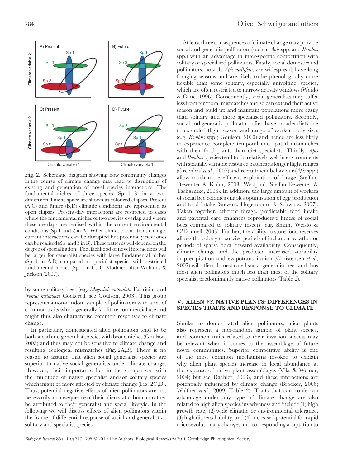

**Fig. 2.** Schematic diagram showing how community changes in the course of climate change may lead to disruptions of existing and generation of novel species interactions. The fundamental niches of three species (Sp 1–3) in a twodimensional niche space are shown as coloured ellipses. Present  $(A, C)$  and future  $(\overline{B}, D)$  climatic conditions are represented as open ellipses. Present-day interactions are restricted to cases where the fundamental niches of two species overlap and where these overlaps are realised within the current environmental conditions (Sp 1 and 2 in A). When climatic conditions change, current interactions can be disrupted but potentially new ones can be realised (Sp and 3 in B). These patterns will depend on the degree of specialisation. The likelihood of novel interactions will be larger for generalist species with large fundamental niches (Sp 1 in A,B) compared to specialist species with restricted fundamental niches (Sp 1 in C,D). Modified after Williams & Jackson (2007).

by some solitary bees (e.g. *Megachile rotundata* Fabricius and *Nomia melanderi* Cockerell; see Goulson, 2003). This group represents a non-random sample of pollinators with a set of common traits which generally facilitate commercial use and might thus also characterise common responses to climate change.

In particular, domesticated alien pollinators tend to be both social and generalist species with broad niches (Goulson, 2003) and thus may not be sensitive to climate change and resulting ecological mismatches (Fig. 2A,B). There is no reason to assume that alien social generalist species are superior to native social generalists under climate change. However, their importance lies in the comparison with the multitude of native specialist and/or solitary species which might be more affected by climate change (Fig. 2C,D). Thus, potential negative effects of alien pollinators are not necessarily a consequence of their alien status but can rather be attributed to their generalist and social lifestyle. In the following we will discuss effects of alien pollinators within the frame of differential response of social and generalist *vs.* solitary and specialist species.

At least three consequences of climate change may provide social and generalist pollinators (such as *Apis* spp. and *Bombus* spp.) with an advantage in inter-specific competition with solitary or specialised pollinators. Firstly, social domesticated pollinators, notably *Apis mellifera*, are widespread, have long foraging seasons and are likely to be phenologically more flexible than some solitary, especially univoltine, species, which are often restricted to narrow activity windows (Wcislo & Cane, 1996). Consequently, social generalists may suffer less from temporal mismatches and so can extend their active season and build up and maintain populations more easily than solitary and more specialised pollinators. Secondly, social and generalist pollinators often have broader diets due to extended flight season and range of worker body sizes (e.g. *Bombus* spp.; Goulson, 2003) and hence are less likely to experience complete temporal and spatial mismatches with their food plants than diet specialists. Thirdly, *Apis* and *Bombus* species tend to do relatively well in environments with spatially variable resource patches as longer flight ranges (Greenleaf *et al*., 2007) and recruitment behaviour (*Apis* spp.) allow much more efficient exploitation of forage (Steffan-Dewenter & Kuhn, 2003; Westphal, Steffan-Dewenter & Tscharntke, 2006). In addition, the large amount of workers of social bee colonies enables optimisation of egg production and food intake (Stevens, Hogendoorn & Schwarz, 2007). Taken together, efficient forage, predictable food intake and parental care enhances reproductive fitness of social bees compared to solitary insects (e.g. Smith, Weislo & O'Donnell, 2003). Further, the ability to store food reserves allows the colony to survive periods of inclement weather or periods of sparse floral reward availability. Consequently, climate change and the predicted increased variability in precipitation and evapotranspiration (Christensen *et al*., 2007) will affect domesticated social generalist bees and thus most alien pollinators much less than most of the solitary specialist predominantly native pollinators (Table 2).

## **V. ALIEN** *VS.* **NATIVE PLANTS: DIFFERENCES IN SPECIES TRAITS AND RESPONSE TO CLIMATE**

Similar to domesticated alien pollinators, alien plants also represent a non-random sample of plant species, and common traits related to their invasion success may be relevant when it comes to the assemblage of future novel communities. Superior competitive ability is one of the most common mechanisms invoked to explain why alien plant species increase in local abundance at the expense of native plant assemblages (Vilà & Weiner, 2004; but see Daehler, 2003), and these interactions are potentially influenced by climate change (Brooker, 2006; Walther *et al*., 2009; Table 2). Traits that can confer an advantage under any type of climate change are also related to high alien species invasiveness and include (1) high growth rate, (2) wide climatic or environmental tolerance, (3) high dispersal ability, and (4) increased potential for rapid microevolutionary changes and corresponding adaptation to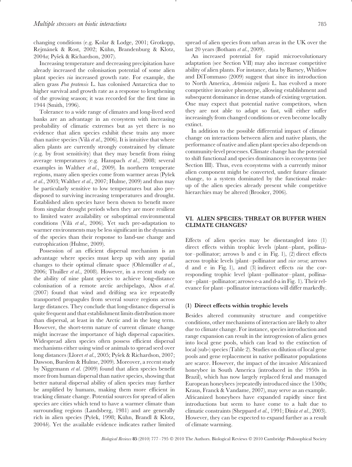changing conditions (e.g. Kolar & Lodge, 2001; Grotkopp, Rejmánek & Rost, 2002; Kühn, Brandenburg & Klotz, 2004*a*; Pyšek & Richardson, 2007).

Increasing temperature and decreasing precipitation have already increased the colonisation potential of some alien plant species *via* increased growth rate. For example, the alien grass *Poa pratensis* L. has colonised Antarctica due to higher survival and growth rate as a response to lengthening of the growing season; it was recorded for the first time in 1944 (Smith, 1996).

Tolerance to a wide range of climates and long-lived seed banks are an advantage in an ecosystem with increasing probability of climatic extremes but as yet there is no evidence that alien species exhibit these traits any more than native species (Vilà *et al.*, 2006). It is intuitive that where alien plants are currently strongly constrained by climate (e.g. by frost sensitivity) that they may benefit from rising average temperatures (e.g. Hanspach *et al*., 2008; several examples in Walther *et al*., 2009). In northern temperate regions, many alien species come from warmer areas (Pyšek *et al*., 2003; Walther *et al*., 2007; Hulme, 2009) and thus may be particularly sensitive to low temperatures but also predisposed to surviving increasing temperatures and drought. Established alien species have been shown to benefit more from singular drought periods when they are more resilient to limited water availability or suboptimal environmental conditions (Vila` *et al*., 2006). Yet such pre-adaptation to warmer environments may be less significant in the dynamics of the species than their response to land-use change and eutrophication (Hulme, 2009).

Possession of an efficient dispersal mechanism is an advantage where species must keep up with any spatial changes to their optimal climate space (Ohlemüller *et al.*, 2006; Thuiller *et al*., 2008). However, in a recent study on the ability of nine plant species to achieve long-distance colonisation of a remote arctic archipelago, Alsos *et al*. (2007) found that wind and drifting sea ice repeatedly transported propagules from several source regions across large distances. They conclude that long-distance dispersal is quite frequent and that establishment limits distribution more than dispersal, at least in the Arctic and in the long term. However, the short-term nature of current climate change might increase the importance of high dispersal capacities. Widespread alien species often possess efficient dispersal mechanisms either using wind or animals to spread seed over long distances (Lloret et al., 2005; Pyšek & Richardson, 2007; Dawson, Burslem & Hulme, 2009). Moreover, a recent study by Niggemann *et al*. (2009) found that alien species benefit more from human dispersal than native species, showing that better natural dispersal ability of alien species may further be amplified by humans, making them more efficient in tracking climate change. Potential sources for spread of alien species are cities which tend to have a warmer climate than surrounding regions (Landsberg, 1981) and are generally rich in alien species (Pyšek, 1998; Kühn, Brandl & Klotz, 2004*b*). Yet the available evidence indicates rather limited

spread of alien species from urban areas in the UK over the last 20 years (Botham *et al*., 2009).

An increased potential for rapid microevolutionary adaptation (see Section VII) may also increase competitive ability of alien plants. For instance, data by Barney, Whitlow and DiTommaso (2009) suggest that since its introduction to North America, *Artemisia vulgaris* L. has evolved a more competitive invasive phenotype, allowing establishment and subsequent dominance in dense stands of existing vegetation. One may expect that potential native competitors, when they are not able to adapt so fast, will either suffer increasingly from changed conditions or even become locally extinct.

In addition to the possible differential impact of climate change on interactions between alien and native plants, the performance of native and alien plant species also depends on community-level processes. Climate change has the potential to shift functional and species dominances in ecosystems (see Section III). Thus, even ecosystems with a currently minor alien component might be converted, under future climate change, to a system dominated by the functional makeup of the alien species already present while competitive hierarchies may be altered (Brooker, 2006).

## **VI. ALIEN SPECIES: THREAT OR BUFFER WHEN CLIMATE CHANGES?**

Effects of alien species may be disentangled into (1) direct effects within trophic levels (plant–plant, pollinator–pollinator; arrows b and c in Fig. 1), (2) direct effects across trophic levels (plant–pollinator and *vice versa*; arrows d and e in Fig. 1), and (3) indirect effects *via* the corresponding trophic level (plant–pollinator–plant, pollinator–plant–pollinator; arrows e-a and d-a in Fig. 1). Their relevance for plant–pollinator interactions will differ markedly.

#### **(1) Direct effects within trophic levels**

Besides altered community structure and competitive conditions, other mechanisms of interaction are likely to alter due to climate change. For instance, species introduction and range expansion can result in the introgression of alien genes into local gene pools, which can lead to the extinction of local (sub-) species (Table 2). Studies on dilution of local gene pools and gene replacement in native pollinator populations are scarce. However, the impact of the invasive Africanized honeybee in South America (introduced in the 1950s in Brazil), which has now largely replaced feral and managed European honeybees (repeatedly introduced since the 1500s; Kraus, Franck & Vandame, 2007), may serve as an example. Africanized honeybees have expanded rapidly since first introductions but seem to have come to a halt due to climatic constraints (Sheppard *et al*., 1991; Diniz *et al*., 2003). However, they can be expected to expand further as a result of climate warming.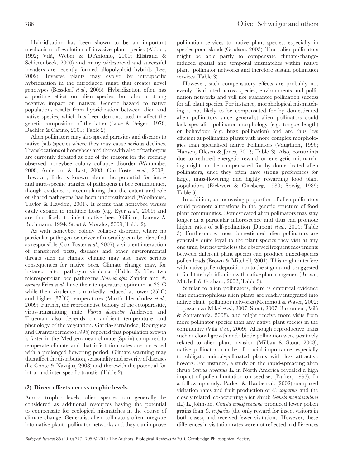Hybridisation has been shown to be an important mechanism of evolution of invasive plant species (Abbott, 1992; Vila, Weber & D'Antonio, 2000; Ellstrand & ` Schierenbeck, 2000) and many widespread and successful invaders are recently formed allopolyploid hybrids (Lee, 2002). Invasive plants may evolve by interspecific hybridisation in the introduced range that creates novel genotypes (Bossdorf *et al*., 2005). Hybridization often has a positive effect on alien species, but also a strong negative impact on natives. Genetic hazard to native populations results from hybridization between alien and native species, which has been demonstrated to affect the genetic composition of the latter (Love & Feigen, 1978; Daehler & Carino, 2001; Table 2).

Alien pollinators may also spread parasites and diseases to native (sub-)species where they may cause serious declines. Translocations of honeybees and therewith also of pathogens are currently debated as one of the reasons for the recently observed honeybee colony collapse disorder (Watanabe, 2008; Anderson & East, 2008; Cox-Foster *et al*., 2008). However, little is known about the potential for interand intra-specific transfer of pathogens in bee communities, though evidence is accumulating that the extent and role of shared pathogens has been underestimated (Woolhouse, Taylor & Haydon, 2001). It seems that honeybee viruses easily expand to multiple hosts (e.g. Eyer *et al*., 2009) and are thus likely to infect native bees (Gilliam, Lorenz & Buchmann, 1994; Stout & Morales, 2009; Table 2).

As with honeybee colony collapse disorder, where no particular pathogen or driver of mortality can be identified as responsible (Cox-Foster *et al*., 2007), a virulent interaction of transferred pests, diseases and other environmental threats such as climate change may also have serious consequences for native bees. Climate change may, for instance, alter pathogen virulence (Table 2). The two microsporidian bee pathogens *Nosema apis* Zander and *N. ceranae* Fries *et al*. have their temperature optimum at 33◦ C while their virulence is markedly reduced at lower (25°C) and higher (37°C) temperatures (Martín-Hernández et al., 2009). Further, the reproductive biology of the ectoparasitic, virus-transmitting mite *Varroa destructor* Anderson and Trueman also depends on ambient temperature and phenology of the vegetation. García-Fernández, Rodriguez and Orantesbermejo (1995) reported that population growth is faster in the Mediterranean climate (Spain) compared to temperate climate and that infestation rates are increased with a prolonged flowering period. Climate warming may thus affect the distribution, seasonality and severity of diseases (Le Conte & Navajas, 2008) and therewith the potential for intra- and inter-specific transfer (Table 2).

## **(2) Direct effects across trophic levels**

Across trophic levels, alien species can generally be considered as additional resources having the potential to compensate for ecological mismatches in the course of climate change. Generalist alien pollinators often integrate into native plant–pollinator networks and they can improve pollination services to native plant species, especially in species-poor islands (Goulson, 2003). Thus, alien pollinators might be able partly to compensate climate-changeinduced spatial and temporal mismatches within native plant–pollinator networks and therefore sustain pollination services (Table 3).

However, such compensatory effects are probably not evenly distributed across species, environments and pollination networks and will not guarantee pollination success for all plant species. For instance, morphological mismatching is not likely to be compensated for by domesticated alien pollinators since generalist alien pollinators could lack specialist pollinator morphology (e.g. tongue length) or behaviour (e.g. buzz pollination) and are thus less efficient at pollinating plants with more complex morphologies than specialised native Pollinators (Vaughton, 1996; Hansen, Olesen & Jones, 2002; Table 3). Also, constraints due to reduced energetic reward or energetic mismatching might not be compensated for by domesticated alien pollinators, since they often have strong preferences for large, mass-flowering and highly rewarding food plant populations (Eickwort & Ginsberg, 1980; Sowig, 1989; Table 3).

In addition, an increasing proportion of alien pollinators could promote alterations in the genetic structure of food plant communities. Domesticated alien pollinators may stay longer at a particular inflorescence and thus can promote higher rates of self-pollination (Dupont *et al*., 2004; Table 3). Furthermore, most domesticated alien pollinators are generally quite loyal to the plant species they visit at any one time, but nevertheless the observed frequent movements between different plant species can produce mixed-species pollen loads (Brown & Mitchell, 2001). This might interfere with native pollen deposition onto the stigma and is suggested to facilitate hybridisation with native plant congeners (Brown, Mitchell & Graham, 2002; Table 3).

Similar to alien pollinators, there is empirical evidence that enthomophilous alien plants are readily integrated into native plant–pollinator networks (Memmott & Waser, 2002; Lopezaraiza-Mikel *et al*., 2007; Stout, 2007; Bartomeus, Vila` & Santamaría, 2008), and might receive more visits from more pollinator species than any native plant species in the community (Vila` *et al*., 2009). Although reproductive traits such as clonal growth and abiotic pollination were positively related to alien plant invasion (Milbau & Stout, 2008), native pollinators can be of crucial importance, especially to obligate animal-pollinated plants with less attractive flowers. For instance, a study on the rapid-spreading alien shrub *Cytisus scoparius* L. in North America revealed a high impact of pollen limitation on seed-set (Parker, 1997). In a follow up study, Parker & Haubensak (2002) compared visitation rates and fruit production of *C. scoparius* and the closely related, co-occurring alien shrub *Genista monspessulana* (L.) L. Johnson. *Genista monspessulana* produced fewer pollen grains than *C. scoparius* (the only reward for insect visitors in both cases), and received fewer visitations. However, these differences in visitation rates were not reflected in differences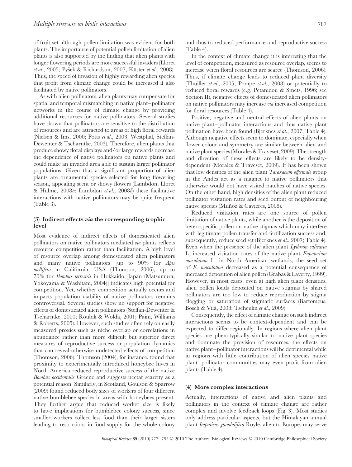of fruit set although pollen limitation was evident for both plants. The importance of potential pollen limitation of alien plants is also supported by the finding that alien plants with longer flowering periods are more successful invaders (Lloret *et al.*, 2005; Pyšek & Richardson, 2007; Küster *et al.*, 2008). Thus, the speed of invasion of highly rewarding alien species that profit from climate change could be increased if also facilitated by native pollinators.

As with alien pollinators, alien plants may compensate for spatial and temporal mismatching in native plant–pollinator networks in the course of climate change by providing additional resources for native pollinators. Several studies have shown that pollinators are sensitive to the distribution of resources and are attracted to areas of high floral rewards (Nielsen & Ims, 2000; Potts *et al*., 2003; Westphal, Steffan-Dewenter & Tscharntke, 2003). Therefore, alien plants that produce showy floral displays and/or large rewards decrease the dependence of native pollinators on native plants and could make an invaded area able to sustain larger pollinator populations. Given that a significant proportion of alien plants are ornamental species selected for long flowering season, appealing scent or showy flowers (Lambdon, Lloret & Hulme, 2008*a*; Lambdon *et al*., 2008*b*) these facilitative interactions with native pollinators may be quite frequent (Table 3).

#### **(3) Indirect effects** *via* **the corresponding trophic level**

Most evidence of indirect effects of domesticated alien pollinators on native pollinators mediated *via* plants reflects resource competition rather than facilitation. A high level of resource overlap among domesticated alien pollinators and many native pollinators [up to 90% for *Apis mellifera* in California, USA (Thomson, 2006); up to 70% for *Bombus terrestris* in Hokkaido, Japan (Matsumura, Yokoyama & Washitani, 2004)] indicates high potential for competition. Yet, whether competition actually occurs and impacts population viability of native pollinators remains controversial. Several studies show no support for negative effects of domesticated alien pollinators (Steffan-Dewenter & Tscharntke, 2000; Roubik & Wolda, 2001; Paini, Williams & Roberts, 2005). However, such studies often rely on easily measured proxies such as niche overlap or correlations in abundance rather than more difficult but superior direct measures of reproductive success or population dynamics that can reveal otherwise undetected effects of competition (Thomson, 2006). Thomson (2004), for instance, found that proximity to experimentally introduced honeybee hives in North America reduced reproductive success of the native *Bombus occidentalis* Greene and suggests nectar scarcity as a potential reason. Similarly, in Scotland, Goulson & Sparrow (2009) found reduced body sizes of workers of four different native bumblebee species in areas with honeybees present. They further argue that reduced worker size is likely to have implications for bumblebee colony success, since smaller workers collect less food than their larger sisters leading to restrictions in food supply for the whole colony

and thus to reduced performance and reproductive success (Table 4).

In the context of climate change it is interesting that the level of competition, measured as resource overlap, seems to increase when floral resources are scarce (Thomson, 2006). Thus, if climate change leads to reduced plant diversity (Thuiller *et al*., 2005; Pompe *et al*., 2008) or potentially to reduced floral rewards (e.g. Petanidou & Smets, 1996; see Section II), negative effects of domesticated alien pollinators on native pollinators may increase *via* increased competition for floral resources (Table 4).

Positive, negative and neutral effects of alien plants on native plant–pollinator interactions and thus native plant pollination have been found (Bjerknes *et al*., 2007; Table 4). Although negative effects seem to dominate, especially when flower colour and symmetry are similar between alien and native plant species (Morales & Traveset, 2009). The strength and direction of these effects are likely to be densitydependent (Morales & Traveset, 2009). It has been shown that low densities of the alien plant *Taraxacum officinale* group in the Andes act as a magnet to native pollinators that otherwise would not have visited patches of native species. On the other hand, high densities of the alien plant reduced pollinator visitation rates and seed output of neighbouring native species (Muñoz & Cavieres, 2008).

Reduced visitation rates are one source of pollen limitation of native plants, while another is the deposition of heterospecific pollen on native stigmas which may interfere with legitimate pollen transfer and fertilization success and, subsequently, reduce seed set (Bjerknes *et al*., 2007; Table 4). Even when the presence of the alien plant *Lythrum salicaria* L. increased visitation rates of the native plant *Eupatorium maculatum* L. in North American wetlands, the seed set of *E. maculatum* decreased as a potential consequence of increased deposition of alien pollen (Grabas & Laverty, 1999). However, in most cases, even at high alien plant densities, alien pollen loads deposited on native stigmas by shared pollinators are too low to reduce reproduction by stigma clogging or saturation of stigmatic surfaces (Bartomeus, Bosch & Vila, 2008; Tscheulin ` *et al*., 2009).

Consequently, the effect of climate change on such indirect interactions seems to be context-dependent and can be expected to differ regionally. In regions where alien plant species are phenotypically similar to native plant species and dominate the provision of resources, the effects on native plant–pollinator interactions will be detrimental while in regions with little contribution of alien species native plant–pollinator communities may even profit from alien plants (Table 4).

#### **(4) More complex interactions**

Actually, interactions of native and alien plants and pollinators in the context of climate change are rather complex and involve feedback loops (Fig. 3). Most studies only address particular aspects, but the Himalayan annual plant *Impatiens glandulifera* Royle, alien to Europe, may serve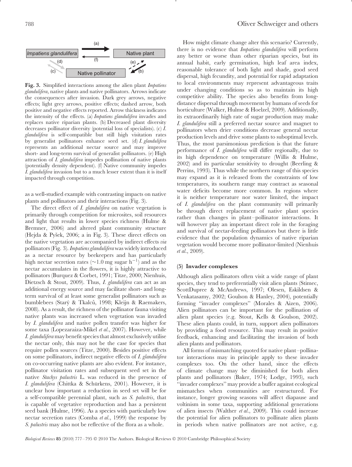

**Fig. 3.** Simplified interactions among the alien plant *Impatiens glandulifera*, native plants and native pollinators. Arrows indicate the consequences after invasion. Dark grey arrows, negative effects; light grey arrows, positive effects; dashed arrow, both positive and negative effects reported. Arrow thickness indicates the intensity of the effects. (a) *Impatiens glandulifera* invades and replaces native riparian plants. (b) Decreased plant diversity decreases pollinator diversity (potential loss of specialists). (c) *I. glandulifera* is self-compatible but still high visitation rates by generalist pollinators enhance seed set. (d) *I. glandulifera* represents an additional nectar source and may improve short- and long-term survival of generalist pollinators. (e) High attraction of *I. glandulifera* impedes pollination of native plants (potentially density dependent). (f) Native community impedes *I. glandulifera* invasion but to a much lesser extent than it is itself impacted through competition.

as a well-studied example with contrasting impacts on native plants and pollinators and their interactions (Fig. 3).

The direct effect of *I. glandulifera* on native vegetation is primarily through competition for microsites, soil resources and light that results in lower species richness (Hulme & Bremner, 2006) and altered plant community structure (Hejda & Pyšek, 2006; a in Fig. 3). These direct effects on the native vegetation are accompanied by indirect effects *via* pollinators (Fig. 3).*Impatiens glandulifera*was widely introduced as a nectar resource by beekeepers and has particularly high nectar secretion rates ( $\sim$ 1.0 mg sugar h<sup>-1</sup>) and as the nectar accumulates in the flowers, it is highly attractive to pollinators (Burquez & Corbet, 1991; Titze, 2000; Nienhuis, Dietzsch & Stout, 2009). Thus, *I. glandulifera* can act as an additional energy source and may facilitate short- and longterm survival of at least some generalist pollinators such as bumblebees (Starý & Tkalců, 1998; Kleijn & Raemakers, 2008). As a result, the richness of the pollinator fauna visiting native plants was increased when vegetation was invaded by *I. glandulifera* and native pollen transfer was higher for some taxa (Lopezaraiza-Mikel *et al*., 2007). However, while *I. glandulifera* may benefit species that almost exclusively utilise the nectar only, this may not be the case for species that require pollen sources (Titze, 2000). Besides positive effects on some pollinators, indirect negative effects of *I. glandulifera* on co-occurring native plants are also evident. For instance, pollinator visitation rates and subsequent seed set in the native *Stachys palustris* L. was reduced in the presence of *I. glandulifera* (Chittka & Schürkens, 2001). However, it is unclear how important a reduction in seed set will be for a self-compatible perennial plant, such as *S. palustris*, that is capable of vegetative reproduction and has a persistent seed bank (Hulme, 1996). As a species with particularly low nectar secretion rates (Comba *et al*., 1999) the response by *S. palustris* may also not be reflective of the flora as a whole.

How might climate change alter this scenario? Currently, there is no evidence that *Impatiens glandulifera* will perform any better or worse than other riparian species, but its annual habit, early germination, high leaf area index, reasonable tolerance of both light and shade, good seed dispersal, high fecundity, and potential for rapid adaptation to local environments may represent advantageous traits under changing conditions so as to maintain its high competitive ability. The species also benefits from longdistance dispersal through movement by humans of seeds for horticulture (Walker, Hulme & Hoelzel, 2009). Additionally, its extraordinarily high rate of sugar production may make *I. glandulifera* still a preferred nectar source and magnet to pollinators when drier conditions decrease general nectar production levels and drive some plants to suboptimal levels. Thus, the most parsimonious prediction is that the future performance of *I. glandulifera* will differ regionally, due to its high dependence on temperature (Willis & Hulme, 2002) and its particular sensitivity to drought (Beerling & Perrins, 1993). Thus while the northern range of this species may expand as it is released from the constraints of low temperatures, its southern range may contract as seasonal water deficits become more common. In regions where it is neither temperature nor water limited, the impact of *I. glandulifera* on the plant community will primarily be through direct replacement of native plant species rather than changes in plant–pollinator interactions. It will however play an important direct role in the foraging and survival of nectar-feeding pollinators but there is little evidence that the population dynamics of native riparian vegetation would become more pollinator-limited (Nienhuis *et al*., 2009).

#### **(5) Invader complexes**

Although alien pollinators often visit a wide range of plant species, they tend to preferentially visit alien plants (Stimec, ScottDupree & McAndrews, 1997; Olesen, Eskildsen & Venkatasamy, 2002; Goulson & Hanley, 2004), potentially forming ''invader complexes'' (Morales & Aizen, 2006). Alien pollinators can be important for the pollination of alien plant species (e.g. Stout, Kells & Goulson, 2002). These alien plants could, in turn, support alien pollinators by providing a food resource. This may result in positive feedback, enhancing and facilitating the invasion of both alien plants and pollinators.

All forms of mismatching quoted for native plant–pollinator interactions may in principle apply to these invader complexes too. On the other hand, since the effects of climate change may be diminished for both alien plants and pollinators (Baker, 1974; Lodge, 1993), such ''invader complexes'' may provide a buffer against ecological mismatches when communities are restructured. For instance, longer growing seasons will affect diapause and voltinism in some taxa, supporting additional generations of alien insects (Walther *et al*., 2009). This could increase the potential for alien pollinators to pollinate alien plants in periods when native pollinators are not active, e.g.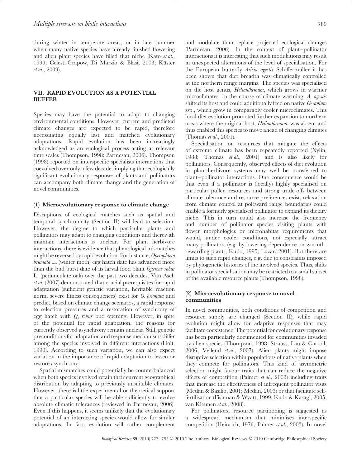during winter in temperate areas, or in late summer when many native species have already finished flowering and alien plant species have filled that niche (Kato *et al*., 1999; Celesti-Grapow, Di Marzio & Blasi, 2003; Küster *et al*., 2009).

# **VII. RAPID EVOLUTION AS A POTENTIAL BUFFER**

Species may have the potential to adapt to changing environmental conditions. However, current and predicted climate changes are expected to be rapid, therefore necessitating equally fast and matched evolutionary adaptations. Rapid evolution has been increasingly acknowledged as an ecological process acting at relevant time scales (Thompson, 1998; Parmesan, 2006). Thompson (1998) reported on interspecific specialists interactions that coevolved over only a few decades implying that ecologically significant evolutionary responses of plants and pollinators can accompany both climate change and the generation of novel communities.

#### **(1) Microevolutionary response to climate change**

Disruptions of ecological matches such as spatial and temporal synchronicity (Section II) will lead to selection. However, the degree to which particular plants and pollinators may adapt to changing conditions and therewith maintain interactions is unclear. For plant–herbivore interactions, there is evidence that phenological mismatches might be reversed by rapid evolution. For instance,*Operophtera brumata* L. (winter moth) egg hatch date has advanced more than the bud burst date of its larval food plant *Quercus robur* L. (pedunculate oak) over the past two decades. Van Asch *et al*. (2007) demonstrated that crucial prerequisites for rapid adaptation (sufficient genetic variation, heritable reaction norm, severe fitness consequences) exist for *O. brumata* and predict, based on climate change scenarios, a rapid response to selection pressures and a restoration of synchrony of egg hatch with *Q. robur* bud opening. However, in spite of the potential for rapid adaptation, the reasons for currently observed asynchrony remain unclear. Still, genetic preconditions for adaptation and response mechanisms differ among the species involved in different interactions (Holt, 1990). According to such variation, we can also expect variation in the importance of rapid adaptation to lessen or restore asynchrony.

Spatial mismatches could potentially be counterbalanced when both species involved retain their current geographical distribution by adapting to previously unsuitable climates. However, there is little experimental or theoretical support that a particular species will be able sufficiently to evolve absolute climatic tolerances (reviewed in Parmesan, 2006). Even if this happens, it seems unlikely that the evolutionary potential of an interacting species would allow for similar adaptations. In fact, evolution will rather complement

and modulate than replace projected ecological changes (Parmesan, 2006). In the context of plant–pollinator interactions it is interesting that such modulations may result in unexpected alterations of the level of specialisation. For the European butterfly *Aricia agestis* Schiffermüller it has been shown that diet breadth was climatically controlled at the northern range margins. The species was specialised on the host genus, *Helianthemum*, which grows in warmer microclimates. In the course of climate warming, *A. agestis* shifted its host and could additionally feed on native *Geranium* ssp., which grow in comparably cooler microclimates. This local diet evolution promoted further expansion to northern areas where the original host, *Helianthemum*, was absent and thus enabled this species to move ahead of changing climates (Thomas *et al*., 2001).

Specialisation on resources that mitigate the effects of extreme climate has been repeatedly reported (Nylin, 1988; Thomas *et al*., 2001) and is also likely for pollinators. Consequently, observed effects of diet evolution in plant-herbivore systems may well be transferred to plant–pollinator interactions. One consequence would be that even if a pollinator is (locally) highly specialised on particular pollen resources and strong trade-offs between climate tolerance and resource preferences exist, relaxation from climate control at poleward range boundaries could enable a formerly specialised pollinator to expand its dietary niche. This in turn could also increase the frequency and number of pollinator species visiting plants with flower morphologies or microhabitat requirements that would, under cooler conditions, not especially attract many pollinators (e.g. by lowering dependence on warmthrewarding plants; Kudo, 1995; Luzar, 2001). But there are limits to such rapid changes, e.g. due to constraints imposed by phylogenetic histories of the involved species. Thus, shifts in pollinator specialisation may be restricted to a small subset of the available resource plants (Thompson, 1998).

#### **(2) Microevolutionary response to novel communities**

In novel communities, both conditions of competition and resource supply are changed (Section II), while rapid evolution might allow for adaptive responses that may facilitate coexistence. The potential for evolutionary response has been particularly documented for communities invaded by alien species (Thompson, 1998; Strauss, Lau & Carroll, 2006; Vellend *et al*., 2007). Alien plants might impose disruptive selection within populations of native plants when they compete for pollinators. This kind of asymmetric selection might favour traits that can reduce the negative effects of competition (Palmer *et al*., 2003) including traits that increase the effectiveness of infrequent pollinator visits (Medan & Basilio, 2001; Medan, 2003) or that facilitate selffertilisation (Fishman & Wyatt, 1999; Kudo & Kasagi, 2005; van Kleunen *et al*., 2008).

For pollinators, resource partitioning is suggested as a widespread mechanism that minimises interspecific competition (Heinrich, 1976; Palmer *et al*., 2003). In novel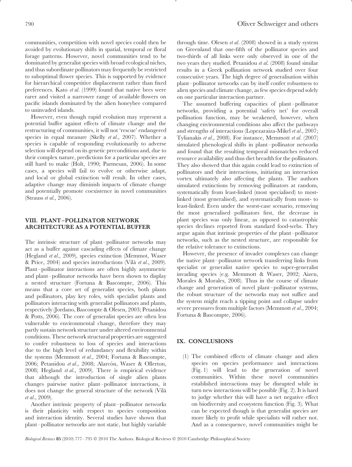communities, competition with novel species could then be avoided by evolutionary shifts in spatial, temporal or floral forage patterns. However, novel communities tend to be dominated by generalist species with broad ecological niches, and thus subordinate pollinators may frequently be restricted to suboptimal flower species. This is supported by evidence for hierarchical competitive displacement rather than fixed preferences. Kato *et al*. (1999) found that native bees were rarer and visited a narrower range of available flowers on pacific islands dominated by the alien honeybee compared to uninvaded islands.

However, even though rapid evolution may represent a potential buffer against effects of climate change and the restructuring of communities, it will not 'rescue' endangered species in equal measure (Skelly *et al*., 2007). Whether a species is capable of responding evolutionarily to adverse selection will depend on its genetic preconditions and, due to their complex nature, predictions for a particular species are still hard to make (Holt, 1990; Parmesan, 2006). In some cases, a species will fail to evolve or otherwise adapt, and local or global extinction will result. In other cases, adaptive change may diminish impacts of climate change and potentially promote coexistence in novel communities (Strauss *et al*., 2006).

#### **VIII. PLANT–POLLINATOR NETWORK ARCHITECTURE AS A POTENTIAL BUFFER**

The intrinsic structure of plant–pollinator networks may act as a buffer against cascading effects of climate change (Hegland *et al*., 2009), species extinction (Memmot, Waser & Price, 2004) and species introductions (Vila` *et al*., 2009). Plant–pollinator interactions are often highly asymmetric and plant–pollinator networks have been shown to display a nested structure (Fortuna & Bascompte, 2006). This means that a core set of generalist species, both plants and pollinators, play key roles, with specialist plants and pollinators interacting with generalist pollinators and plants, respectively (Jordano, Bascompte & Olesen, 2003; Petanidou & Potts, 2006). The core of generalist species are often less vulnerable to environmental change, therefore they may partly sustain network structure under altered environmental conditions. These network structural properties are suggested to confer robustness to loss of species and interactions due to the high level of redundancy and flexibility within the systems (Memmott *et al*., 2004; Fortuna & Bascompte, 2006; Petanidou et al., 2008; Alarcón, Waser & Ollerton, 2008; Hegland *et al*., 2009). There is empirical evidence that although the introduction of single alien plants changes pairwise native plant–pollinator interactions, it does not change the general structure of the network (Vila` *et al*., 2009).

Another intrinsic property of plant–pollinator networks is their plasticity with respect to species composition and interaction identity. Several studies have shown that plant–pollinator networks are not static, but highly variable through time. Olesen *et al*. (2008) showed in a study system on Greenland that one-fifth of the pollinator species and two-thirds of all links were only observed in one of the two years they studied. Petanidou *et al*. (2008) found similar results in a Greek pollination network studied over four consecutive years. The high degree of generalisation within plant–pollinator networks can by itself confer robustness to alien species and climate change, as few species depend solely on one particular interaction partner.

The assumed buffering capacities of plant–pollinator networks, providing a potential 'safety net' for overall pollination function, may be weakened, however, when changing environmental conditions also affect the pathways and strengths of interactions (Lopezaraiza-Mikel *et al*., 2007; Tylianakis *et al*., 2008). For instance, Memmott *et al*. (2007) simulated phenological shifts in plant–pollinator networks and found that the resulting temporal mismatches reduced resource availability and thus diet breadth for the pollinators. They also showed that this again could lead to extinction of pollinators and their interactions, initiating an interaction vortex ultimately also affecting the plants. The authors simulated extinctions by removing pollinators at random, systematically from least-linked (most specialised) to mostlinked (most generalised), and systematically from most- to least-linked. Even under the worst-case scenario, removing the most generalised pollinators first, the decrease in plant species was only linear, as opposed to catastrophic species declines reported from standard food-webs. They argue again that intrinsic properties of the plant–pollinator networks, such as the nested structure, are responsible for the relative tolerance to extinctions.

However, the presence of invader complexes can change the native plant–pollinator network transferring links from specialist or generalist native species to super-generalist invading species (e.g. Memmott & Waser, 2002; Aizen, Morales & Morales, 2008). Thus in the course of climate change and generation of novel plant–pollinator systems, the robust structure of the networks may not suffice and the system might reach a tipping point and collapse under severe pressures from multiple factors (Memmott *et al*., 2004; Fortuna & Bascompte, 2006).

# **IX. CONCLUSIONS**

(1) The combined effects of climate change and alien species on species performance and interactions (Fig. 1) will lead to the generation of novel communities. Within these novel communities established interactions may be disrupted while in turn new interactions will be possible (Fig. 2). It is hard to judge whether this will have a net negative effect on biodiversity and ecosystem function (Fig. 3). What can be expected though is that generalist species are more likely to profit while specialists will rather not. And as a consequence, novel communities might be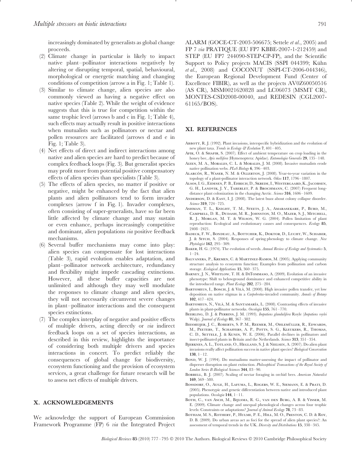increasingly dominated by generalists as global change proceeds.

- (2) Climate change in particular is likely to impact native plant–pollinator interactions negatively by altering or disrupting temporal, spatial, behavioural, morphological or energetic matching and changing conditions of competition (arrow a in Fig. 1; Table 1).
- (3) Similar to climate change, alien species are also commonly viewed as having a negative effect on native species (Table 2). While the weight of evidence suggests that this is true for competition within the same trophic level (arrows b and c in Fig. 1; Table 4), such effects may actually result in positive interactions when mutualists such as pollinators or nectar and pollen resources are facilitated (arrows d and e in Fig. 1; Table 3).
- (4) Net effects of direct and indirect interactions among native and alien species are hard to predict because of complex feedback loops (Fig. 3). But generalist species may profit more from potential positive compensatory effects of alien species than specialists (Table 3).
- (5) The effects of alien species, no matter if positive or negative, might be enhanced by the fact that alien plants and alien pollinators tend to form invader complexes (arrow f in Fig. 1). Invader complexes, often consisting of super-generalists, have so far been little affected by climate change and may sustain or even enhance, perhaps increasingly competitive and dominant, alien populations *via* positive feedback mechanisms.
- (6) Several buffer mechanisms may come into play: alien species can compensate for lost interactions (Table 3), rapid evolution enables adaptation, and plant–pollinator network architecture, redundancy and flexibility might impede cascading extinctions. However, all these buffer capacities are not unlimited and although they may well modulate the responses to climate change and alien species, they will not necessarily circumvent severe changes in plant–pollinator interactions and the consequent species extinctions.
- (7) The complex interplay of negative and positive effects of multiple drivers, acting directly or *via* indirect feedback loops on a set of species interactions, as described in this review, highlights the importance of considering both multiple drivers and species interactions in concert. To predict reliably the consequences of global change for biodiversity, ecosystem functioning and the provision of ecosystem services, a great challenge for future research will be to assess net effects of multiple drivers.

#### **X. ACKNOWLEDGEMENTS**

We acknowledge the support of European Commission Framework Programme (FP) 6 *via* the Integrated Project ALARM (GOCE-CT-2003-506675; Settele *et al*., 2005) and FP 7 *via* PRATIQUE (EU FP7 KBBE-2007-1-212459) and STEP (EU FP7 244090-STEP-CP-FP), and the Scientific Support to Policy projects MACIS (SSPI 044399; Kühn *et al*., 2008) and COCONUT (SSPI-CT-2006-044346), the European Regional Development Fund (Center of Excellence FIBIR), as well as the projects AV0Z60050516 (AS CR), MSM0021620828 and LC06073 (MSMT CR), MONTES-CSD2008-00040, and REDESIN (CGL2007- 61165/BOS).

#### **XI. REFERENCES**

- ABBOTT, R. J. (1992). Plant invasions, interspecific hybridization and the evolution of new plant taxa. *Trends in Ecology & Evolution* **7**, 401–405.
- AFIK, O. & SHAFIR, S. (2007). Effect of ambient temperature on crop loading in the honey bee, *Apis mellifera* (Hymenoptera: Apidae). *Entomologia Generalis* **29**, 135–148.
- Aizen, M. A., Morales, C. L. & Morales, J. M. (2008). Invasive mutualists erode native pollination webs. *PLoS Biology* **6**, 396–403.
- ALARCÓN, R., WASER, N. M. & OLLERTON, J. (2008). Year-to-year variation in the topology of a plant-pollinator interaction network. *Oikos* **117**, 1796–1807.
- Alsos, I. G., Eidesen, P. B., Ehrich, D., Skrede, I., Westergaard, K., Jacobsen, G. H., LANDVIK, J. Y., TABERLET, P. & BROCHMANN, C. (2007) Frequent longdistance plant colonization in the changing Arctic. *Science* **316**, 1606–1609.
- ANDERSON, D. & EAST, I. J. (2008). The latest buzz about colony collapse disorder. *Science* **319**, 724–725.
- Ashman, T. L., Knight, T. M., Steets, J. A., Amarasekare, P., Burd, M., Campbell, D. R., Dudash, M. R., Johnston, M. O., Mazer, S. J., Mitchell, R. J., Morgan, M. T. & Wilson, W. G. (2004). Pollen limitation of plant reproduction: Ecological and evolutionary causes and consequences. *Ecology* **85**, 2408–2421.
- BADECK, F. W., BONDEAU, A., BOTTCHER, K., DOKTOR, D., LUCHT, W., SCHABER, J. & Sitch, S. (2004). Responses of spring phenology to climate change. *New Phytologist* **162**, 295–309.
- Baker, H. G. (1974). The evolution of weeds. *Annual Review of Ecology and Systematics* **5**, 1–24.
- Balvanera, P., Kremen, C. & Martinez-Ramos, M. (2005). Applying community structure analysis to ecosystem function: Examples from pollination and carbon storage. *Ecological Applications* **15**, 360–375.
- BARNEY, J. N., WHITLOW, T. H. & DITOMMASO, A. (2009). Evolution of an invasive phenotype: Shift to belowground dominance and enhanced competitive ability in the introduced range. *Plant Ecology* **202**, 275–284.
- BARTOMEUS, I., BOSCH, J. & VILA, M. (2008). High invasive pollen transfer, yet low deposition on native stigmas in a *Carpobrotus*-invaded community. *Annals of Botany* **102**, 417–424.
- BARTOMEUS, N., VILÀ, M. & SANTAMARÍA, L. (2008). Contrasting effects of invasive plants in plant-pollinator networks. *Oecologia* **155**, 761–770.
- Beerling, D. J. & Perrins, J. M. (1993). *Impatiens glandulifera* Royle (*Impatiens roylei* Walp). *Journal of Ecology* **81**, 367–382.
- BIESMEIJER, J. C., ROBERTS, S. P. M., REEMER, M., OHLEMÜLLER, R., EDWARDS, M., Peeters, T., Schaffers, A. P., Potts, S. G., Kleukers, R., Thomas, C. D., SETTELE, J. & KUNIN, W. E. (2006). Parallel declines in pollinators and insect-pollinated plants in Britain and the Netherlands. *Science* **313**, 351–354.
- Bjerknes, A. L., Totland, O., Hegland, S. J. & Nielsen, A. (2007). Do alien plant invasions really affect pollination success in native plant species? *Biological Conservation* **138**, 1–12.
- BOND, W. J. (1994). Do mutualisms matter-assessing the impact of pollinator and disperser disruption on plant extinction. *Philosophical Transactions of the Royal Society of London Series B-Biological Sciences* **344**, 83–90.
- Borrell, B. J. (2007). Scaling of nectar foraging in orchid bees. *American Naturalist* **169**, 569–580.
- Bossdorf, O., Auge, H., Lafuma, L., Rogers, W. E., Siemann, E. & Prati, D. (2005). Phenotypic and genetic differentiation between native and introduced plant populations. *Oecologia* **144**, 1–11.
- Both, C., van Asch, M., Bijlsma, R. G., van den Burg, A. B. & Visser, M. E. (2009). Climate change and unequal phenological changes across four trophic levels: Constraints or adaptations? *Journal of Animal Ecology* **78**, 73–83.
- Botham, M. S., Rothery, P., Hulme, P. E., Hill, M. O., Preston, C. D. & Roy, D. B. (2009). Do urban areas act as foci for the spread of alien plant species?: An assessment of temporal trends in the UK. *Diversity and Distributions* **15**, 338–345.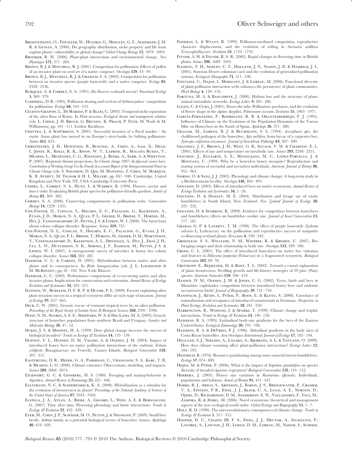- Broennimann, O., Thuiller, W., Hughes, G., Midgley, G. F., Alkemade, J. M. R. & Guisan, A. (2006). Do geographic distribution, niche property and life form explain plants' vulnerability to global change? *Global Change Biology* **12**, 1079–1093.
- Brooker, R. W. (2006). Plant-plant interactions and environmental change. *New Phytologist* **171**, 271–284.
- BROWN, B. J. & MITCHELL, R. J. (2001). Competition for pollination: Effects of pollen of an invasive plant on seed set of a native congener. *Oecologia* **129**, 43–49.
- BROWN, B. J., MITCHELL, R. J. & GRAHAM, S. A. (2002). Competition for pollination between an invasive species (purple loosestrife) and a native congener. *Ecology* **83**, 2328–2336.
- Burquez, A. & Corbet, S. A. (1991). Do flowers reabsorb nectar? *Functional Ecology* **5**, 369–379.
- Campbell, D. R. (1985). Pollinator sharing and seed set of *Stellaria pubera*–competition for pollination. *Ecology* **66**, 544–553.
- Celesti-Grapow, L., Di Marzio, P. & Blasi, C. (2003). Temporal niche separation of the alien flora of Rome. In *Plant invasions: Ecological threats and management solutions* (eds. L. CHILD, J. H. BROCK, G. BRUNDU, K. PRACH, P. Pyšek, M. Wade & M. Williamson), pp. 101–111. Leiden: Backhuys.
- CHITTKA, L. & SCHÜRKENS, S. (2001). Successful invasion of a floral market An  $\,$ exotic Asian plant has moved in on Europe's river-banks by bribing pollinators. *Nature* **411**, 653.
- Christensen, J. H., Hewitson, B., Busuioc, A., Chen, A., Gao, X., Held, L. JONES, R., KOLLI, R. K., KWON, W. T., LAPRISE, R., MAGAÑA RUEDA, V., Mearns, L., Menéndez, C. G., Räisänen, J., Rinke, A., Sarr, A. & Whetton, P. (2007). Regional climate projections. In *Climate change 2007: the physical science basis. Contribution of Working Group I to the Fourth Assessment Report of the Intergovernmental Panel on Climate Change* (eds. S. Solomon, D. Qin, M. Manning, Z. Chen, M. Marquis, K. B. Averyt, M. Tignor & H. L. Miller), pp. 847–940. Cambridge, United Kingdom and New York, NY, USA: Cambridge University Press.
- COMBA, L., CORBET, S. A., HUNT, L. & WARREN, B. (1999). Flowers, nectar and insect visits: Evaluating British plant species for pollinator-friendly gardens. *Annals of Botany* **83**, 369–383.
- Corbet, S. A. (2000). Conserving compartments in pollination webs. *Conservation Biology* **14**, 1229–1231.
- Cox-Foster, D., Conlan, S., Holmes, E. C., Palacios, G., Kalkstein, A., Evans, J. D., Moran, N. A., Quan, P. L., Geiser, D., Briese, T., Hornig, M., HUI, J., VANENGELSDORP, D., PETTIS, J. S. & LIPKIN, W. I. (2008). The latest buzz about colony collapse disorder. Response. *Science* **319**, 725.
- Cox-Foster, D. L., Conlan, S., Holmes, E. C., Palacios, G., Evans, J. D., Moran, N. A., Quan, P. L.,Briese, T., Hornig, M., Geiser, D. M., Martinson, V., Vanengelsdorp, D., Kalkstein, A. L., Drysdale, A., Hui, J., Zhai, J. H., Cui, L. W., Hutchison, S. K., Simons, J. F., Egholm, M., Pettis, J. S. & Lipkin, W. I. (2007). A metagenomic survey of microbes in honey bee colony collapse disorder. *Science* **318**, 283–287.
- Daehler, C. C. & Carino, D. (2001). Hybridization between native and alien plants and its consequences. In *Biotic homogenization* (eds. J. L. LOCKWOOD & M. McKinney), pp. 81–102. New York: Kluwer.
- DAEHLER, C. C. (2003). Performance comparisons of co-occurring native and alien invasive plants: Implications for conservation and restoration. *Annual Review of Ecology Evolution and Systematics* **34**, 183–211.
- Dawson, W., Burslem, D. F. R. P. & Hulme, P. E. (2009). Factors explaining alien plant invasion success in a tropical ecosystem differ at each stage of invasion. *Journal of Ecology* **97**, 657–665.
- Dick, C. W. (2001). Genetic rescue of remnant tropical trees by an alien pollinator. *Proceedings of the Royal Society of London Series B-Biological Sciences* **268**, 2391–2396.
- Diniz, N. M., Soares, A. E. E., Sheppard, W. S. & Del Lama, M. A. (2003). Genetic structure of honeybee populations from southern Brazil and Uruguay. *Genetics and Molecular Biology* **26**, 47–52.
- Dukes, J. S. & Mooney, H. A. (1999). Does global change increase the success of biological invaders? *Trends in Ecology & Evolution* **14**, 135–139.
- Dupont, Y. L., Hansen, D. M., Valido, A. & Olesen, J. M. (2004). Impact of introduced honey bees on native pollination interactions of the endemic *Echium wildpretii* (Boraginaceae) on Tenerife, Canary Islands. *Biological Conservation* **118**, 301–311.
- Easterling, D. R., Meehl, G. A., Parmesan, C., Changnon, S. A., Karl, T. R. & Mearns, L. O. (2000). Climate extremes: Observations, modeling, and impacts. *Science* **289**, 2068–2074.
- Eickwort, G. C. & Ginsberg, H. S. (1980). Foraging and mating-behavior in Apoidea. *Annual Review of Entomology* **25**, 421–446.
- Ellstrand, N. C. & Schierenbeck, K. A. (2000). Hybridization as a stimulus for the evolution of invasiveness in plants? *Proceedings of the National Academy of Sciences of the United States of America* **97**, 7043–7050.
- Elzinga, J. A., Atlan, A., Biere, A., Gigord, L., Weis, A. E. & Bernasconi, G. (2007). Time after time: Flowering phenology and biotic interactions. *Trends in Ecology & Evolution* **22**, 432–439.
- EYER, M., CHEN, J. P., SCHÄFER, M. O., PETTIS, J. & NEUMANN, P. (2009). Small hive beetle, *Aethina tumida*, as a potential biological vector of honeybee viruses. *Apidologie* **40**, 419–428.
- FISHMAN, L. & WYATT, R. (1999). Pollinator-mediated competition, reproductive character displacement, and the evolution of selfing in Arenaria uniflora (Caryophyllaceae). *Evolution* **53**, 1723–1733.
- FITTER, A. H. & FITTER, R. S. R. (2002). Rapid changes in flowering time in British plants. *Science* **296**, 1689–1691.
- Fleming, T. H., Sahley, C. T., Holland, J. N., Nason, J. D. & Hamrick, J. L. (2001). Sonoran Desert columnar cacti and the evolution of generalized pollination systems. *Ecological Monographs* **71**, 511–530.
- FONTAINE, C., DAJOZ, I., MERIGUET, J. & LOREAU, M. (2006). Functional diversity of plant-pollinator interaction webs enhances the persistence of plant communities. *PLoS Biology* **4**, 129–135.
- FORTUNA, M. A. & BASCOMPTE, J. (2006). Habitat loss and the structure of plantanimal mutualistic networks. *Ecology Letters* **9**, 281–286.
- Galen, C. & Cuba, J. (2001). Down the tube: Pollinators, predators, and the evolution of flower shape in the alpine skypilot, *Polemonium viscosum*. *Evolution* **55**, 1963–1971.
- GARCÍA-FERNÁNDEZ, P., RODRIGUEZ, R. B. & ORANTESBERMEJO, F. J. (1995). Influence of Climate on the Evolution of the Population-Dynamics of the Varroa Mite on Honeybees in the South of Spain. *Apidologie* **26**, 371–380.
- Gilliam, M., Lorenz, B. J. & Buchmann, S. L. (1994). *Ascosphaera apis*, the chalkbrood pathogen of the honeybee, *Apis mellifera*, from larvae of a carpenter bee, *Xylocopa californica arizonensis*. *Journal of Invertebrate Pathology* **63**, 307–309.
- Gillooly, J. F., Brown, J. H., West, G. B., Savage, V. M. & Charnov, E. L. (2001). Effects of size and temperature on metabolic rate. *Science* **293**, 2248–2251.
- Golubov, J., Eguiarte, L. E., Mandujano, M. C., Lopez-Portillo, J. & Montana, C. (1999). Why be a honeyless honey mesquite? Reproduction and mating system of nectarful and nectarless individuals. *American Journal of Botany* **86**, 955–963.
- GORDO, O. & SANZ, J. J. (2005). Phenology and climate change: A long-term study in a Mediterranean locality. *Oecologia* **146**, 484–495.
- Goulson, D. (2003). Effects of introduced bees on native ecosystems. *Annual Review of Ecology Evolution and Systematics* **34**, 1–26.
- Goulson, D. & Hanley, M. E. (2004). Distribution and forage use of exotic bumblebees in South Island, New Zealand. *New Zealand Journal of Ecology* **28**, 225–232.
- Goulson, D. & Sparrow, K. (2009). Evidence for competition between honeybees and bumblebees; effects on bumblebee worker size. *Journal of Insect Conservation* **13**, 177–181.
- Grabas, G. P. & Laverty, T. M. (1999). The effect of purple loosestrife (*Lythrum salicaria* L; Lythraceae) on the pollination and reproductive success of sympatric co-flowering wetland plants. *Ecoscience* **6**, 230–242.
- Greenleaf, S. S., Williams, N. M., Winfree, R. & Kremen, C. (2007). Bee foraging ranges and their relationship to body size. *Oecologia* **153**, 589–596.
- Gross, C. L. (2001). The effect of introduced honeybees on native bee visitation and fruit-set in *Dillwynia juniperina* (Fabaceae) in a fragmented ecosystem. *Biological Conservation* **102**, 89–95.
- GROTKOPP, E., REJMÁNEK, M. & ROST, T. L. (2002). Toward a causal explanation of plant invasiveness: Seedling growth and life-history strategies of 29 pine (*Pinus*) species. *American Naturalist* **159**, 396–419.
- Hansen, D. M., Olesen, J. M. & Jones, C. G. (2002). Trees, birds and bees in Mauritius: exploitative competition between introduced honey bees and endemic nectarivorous birds? *Journal of Biogeography* **29**, 721–734.
- HANSPACH, J., KÜHN, I., PYŠEK, P., BOOS, E. & KLOTZ, S. (2008). Correlates of naturalization and occupancy of introduced ornamentals in Germany. *Perspectives in Plant Ecology, Evolution and Systematics* **10**, 241–250.
- HARRINGTON, R., WOIWOD, I. & SPARKS, T. (1999). Climate change and trophic interactions. *Trends in Ecology & Evolution* **14**, 146–150.
- Hawkins, B. A. (1995). Latitudinal body-size gradients for the bees of the Eastern United-States. *Ecological Entomology* **20**, 195–198.
- Hawkins, B. A. & DeVries, P. J. (1996). Altitudinal gradients in the body sizes of Costa Rican butterflies. *Acta Oecologica-International Journal of Ecology* **17**, 185–194.
- HEGLAND, S. J., NIELSEN, A., LÁZARO, A., BJERKNES, A. L. & TOTLAND, O. (2009). How does climate warming affect plant-pollinator interactions? *Ecology Letters* **12**, 184–195.
- HEINRICH, B. (1976). Resource partitioning among some eusocial insects-bumblebees. *Ecology* **57**, 874–889.
- HEJDA, M. & PYŠEK, P. (2006). What is the impact of *Impatiens glandulifera* on species diversity of invaded riparian vegetation? *Biological Conservation* **132**, 143–152.
- Herrera, J. (2005). Flower size variation in *Rosmarinus officinalis*: Individuals, populations and habitats. *Annals of Botany* **95**, 431–437.
- Hobbs, R. J., Arico, S., Aronson, J., Baron, J. S., Bridgewater, P., Cramer, V. A., Epstein, P. R., Ewel, J. J., Klink, C. A., Lugo, A. E., Norton, D., OJIMA, D., RICHARDSON, D. M., SANDERSON, E. W., VALLADARES, F., VILÀ, M., ZAMORA, R. & ZOBEL, M. (2006). Novel ecosystems: theoretical and management aspects of the new ecological world order. *Global Ecology and Biogeography* **15**, 1–7.
- HOLT, R. D. (1990). The microevolutionary consequences of climate change. *Trends in Ecology & Evolution* **5**, 311–315.
- HOOPER, D. U., CHAPIN III, F. S., EWEL, J. J., HECTOR, A., INCHAUSTI, P., LAVOREL, S., LAWTON, J. H., LODGE, D. M., LOREAU, M., NAEEM, S., SCHMID,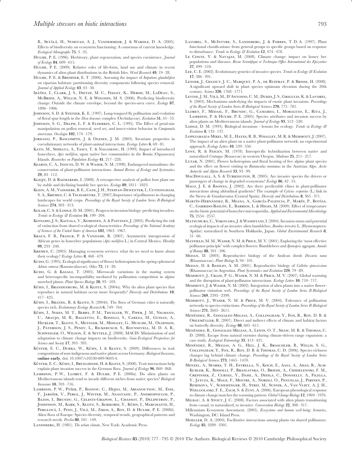B., Setälä, H., Symstad, A. J., Vandermeer, J. & Wardle, D. A. (2005). Effects of biodiversity on ecosystem functioning: A consensus of current knowledge. *Ecological Monographs* **75**, 3–35.

- Hulme, P. E. (1996). Herbivory, plant regeneration, and species coexistence. *Journal of Ecology* **84**, 609–615.
- HULME, P. E. (2009). Relative roles of life-form, land use and climate in recent dynamics of alien plant distributions in the British Isles. *Weed Research* **49**, 19–28.
- Hulme, P. E. & Bremner, E. T. (2006). Assessing the impact of *Impatiens glandulifera* on riparian habitats: partitioning diversity components following species removal. *Journal of Applied Ecology* **43**, 43–50.
- Ibáñez, I., Clark, J. S., Dietze, M. C., Feeley, K., Hersh, M., LaDeau, S., McBRIDE, A., WELCH, N. E. & WOLOSIN, M. S. (2006). Predicting biodiversity change: Outside the climate envelope, beyond the species-area curve. *Ecology* **87**, 1896–1906.
- JOHNSON, S. D. & STEINER, K. E. (1997). Long-tongued fly pollination and evolution of floral spur length in the *Disa draconis* complex (Orchidaceae). *Evolution* **51**, 45–53.
- JOHNSON, S. G., DELPH, L. F. & ELDERKIN, C. L. (1995). The Effect of petal-size manipulation on pollen removal, seed set, and insect-visitor behavior in *Campanula americana*. *Oecologia* **102**, 174–179.
- Jordano, P., Bascompte, J. & Olesen, J. M. (2003). Invariant properties in coevolutionary networks of plant-animal interactions. *Ecology Letters* **6**, 69–81.
- KATO, M., SHIBATA, A., YASUI, T. & NAGAMASU, H. (1999). Impact of introduced honeybees, *Apis mellifera*, upon native bee communities in the Bonin (Ogasawara) Islands. *Researches on Population Ecology* **41**, 217–228.
- Kearns, C. A., Inouye, D. W. & Waser, N. M. (1998). Endangered mutualisms: the conservation of plant-pollinator interactions. *Annual Review of Ecology and Systematics* **29**, 83–112.
- Kleijn, D. & Raemakers, I. (2008). A retrospective analysis of pollen host plant use by stable and declining bumble bee species. *Ecology* **89**, 1811–1823.
- Klein, A. M., Vaissiere, B. E., Cane, J. H., Steffan-Dewenter, I., Cunningham, S. A., KREMEN, C. & TSCHARNTKE, T. (2007).Importance of pollinators in changing landscapes for world crops. *Proceedings of the Royal Society of London Series B-Biological Sciences* **274**, 303–313.
- KOLAR, C. S. & LODGE, D. M. (2001). Progress in invasion biology: predicting invaders. *Trends in Ecology & Evolution* **16**, 199–204.
- KOTIAHO, J. S., KAITALA, V., KOMONEN, A. & PAIVINEN, J. (2005). Predicting the risk of extinction from shared ecological characteristics. *Proceedings of the National Academy of Sciences of the United States of America* **102**, 1963–1967.
- Kraus, F. B., Franck, P. & Vandame, R. (2007). Asymmetric introgression of African genes in honeybee populations (*Apis mellifera* L.) in Central Mexico. *Heredity* **99**, 233–240.
- Kremen, C. (2005). Managing ecosystem services: what do we need to know about their ecology? *Ecology Letters* **8**, 468–479.
- KUDO, G. (1995). Ecological significance of flower heliotropism in the spring ephemeral *Adonis ramosa* (Ranunculaceae). *Oikos* **72**, 14–20.
- KUDO, G. & KASAGI, T. (2005). Microscale variations in the mating system and heterospecific incompatibility mediated by pollination competition in alpine snowbed plants. *Plant Species Biology* **20**, 93–103.
- KÜHN, I., BRANDENBURG, M. & KLOTZ, S. (2004*a*). Why do alien plant species that reproduce in natural habitats occur more frequently? *Diversity and Distributions* **10**, 417–425.
- KÜHN, I., BRANDL, R. & KLOTZ, S. (2004*b*). The flora of German cities is naturally species rich. *Evolutionary Ecology Research* **6**, 749–764.
- KÜHN, I., SYKES, M. T., BERRY, P. M., THUILLER, W., PIPER, J. M., NIGMANN, U., Araujo, M. B., Balletto, E., Bonelli, S., Cabeza, M., Guisan, A., Hickler, T., Klotz, S., Metzger, M., Midgley, G., Musche, M., Olofsson, J., Paterson, J. S., Penev, L., Rickebusch, S., Rounsevell, M. D. A. R., SCHWEIGER, O., WILSON, E. & SETTELE, J. (2008). MACIS: Minimisation of and adaptation to climate change impacts on biodiversity. *Gaia-Ecological Perspectives for Science and Society* **17**, 393–395.
- KÜSTER, E. C., DURKA, W., KÜHN, I. & KLOTZ, S. (2009). Differences in trait compositions of non-indigenous and native plants across Germany. *Biological Invasions*, **online early**, doi: 10.1007/s10530-009-9603-4.
- KÜSTER, E. C., KÜHN, I., BRUELHEIDE, H. & KLOTZ, S. (2008). Trait interactions help explain plant invasion success in the German flora. *Journal of Ecology* **96**, 860–868.
- LAMBDON, P. W., LLORET, F. & HULME, P. E. (2008a). Do alien plants on Mediterranean islands tend to invade different niches from native species? *Biological Invasions* **10**, 703–716.
- LAMBDON, P. W., PYŠEK, P., BASNOU, C., HEJDA, M., ARIANOUTSOU, M., ESSL, F., JAROŠIK, V., PERGL, J., WINTER, M., ANASTASIU, P., ANDRIOPOULOS, P., Bazos, I., Brundu, G., Celesti-Grapow, L., Chassot, P., Delipetrou, P., JOSEFSSON, M., KARK, S., KLOTZ, S., KOKKORIS, Y., KÜHN, I., MARCHANTE, H., PERGLOVÁ, I., PINO, J., VILÀ, M., ZIKOS, A., ROY, D. & HULME, P. E. (2008b). Alien flora of Europe: Species diversity, temporal trends, geographical patterns and research needs. *Preslia* **80**, 101–149.
- LANDSBERG, H. (1981). *The urban climate*, New York: Academic Press.
- Lavorel, S., McIntyre, S., Landsberg, J. & Forbes, T. D. A. (1997). Plant functional classifications: from general groups to specific groups based on response to disturbance. *Trends in Ecology & Evolution* **12**, 474–478.
- LE CONTE, Y. & NAVAJAS, M. (2008). Climate change: impact on honey bee populations and diseases. *Revue Scientifique et Technique-Office International des Epizooties* **27**, 499–510.
- Lee, C. E. (2002). Evolutionary genetics of invasive species. *Trends in Ecology & Evolution* **17**, 386–391.
- LENOIR, J., GEGOUT, J. C., MARQUET, P. A., DE RUFFRAY, P. & BRISSE, H. (2008). A significant upward shift in plant species optimum elevation during the 20th century. *Science* **320**, 1768–1771.
- LEVINE, J. M., VILÀ, M., D'ANTONIO, C. M., DUKES, J. S., GRIGULIS, K. & LAVOREL, S. (2003). Mechanisms underlying the impacts of exotic plant invasions. *Proceedings of the Royal Society of London Series B-Biological Sciences* **270**, 775–781.
- LLORET, F., MÉDAIL, F., BRUNDU, G., CAMARDA, I., MORAGUES, E., RITA, J., LAMBDON, P. & HULME, P. E. (2005). Species attributes and invasion success by alien plants on Mediterranean islands. *Journal of Ecology* **93**, 512–520.
- LODGE, D. M. (1993). Biological invasions lessons for ecology. *Trends in Ecology* & *Evolution* **8**, 133–137.
- Lopezaraiza-Mikel, M. E., Hayes, R. B., Whalley, M. R. & Memmott, J. (2007). The impact of an alien plant on a native plant-pollinator network: an experimental approach. *Ecology Letters* **10**, 539–550.
- LOVE, R. & FEIGEN, M. (1978). Interspecific hybridization between native and naturalized *Crataegus* (Rosaceae) in western Oregon. *Madrono* **25**, 211–217.
- Luzar, N. (2001). Flower heliotropism and floral heating of five alpine plant species and the effect on flower visiting in *Ranunculus montanus* in the Austrian Alps. *Arctic Antarctic and Alpine Research* **33**, 93–99.
- MACDOUGALL, A. S. & TURKINGTON, R. (2005). Are invasive species the drivers or passengers of change in degraded ecosystems? *Ecology* **86**, 42–55.
- Malo, J. E. & Baonza, J. (2002). Are there predictable clines in plant-pollinator interactions along altitudinal gradients? The example of *Cytisus scoparius* (L.) link in the Sierra de Guadarrama (Central Spain). *Diversity and Distributions* **8**, 365–371.
- Martín-Hernández, R., Meana, A., García-Palencia, P., Marín, P., Botías, C., GARRIDO-BAILÓN, E., BARRIOS, L. & HIGES, M. (2009). Effect of temperature on the biotic potential of honeybee microsporidia. *Applied and Environmental Microbiology* **75**, 2554–2557.
- MATSUMURA, C., YOKOYAMA, J. & WASHITANI, I. (2004). Invasion status and potential ecological impacts of an invasive alien bumblebee, *Bombus terrestris* L. (Hymenoptera: Apidae) naturalized in Southern Hokkaido, Japan. *Global Envirinmental Research* **8**, 51–66.
- Mayfield, M. M., Waser, N. M. & Price, M. V. (2001). Exploring the 'most effective pollinator principle' with complex flowers: Bumblebees and *Ipomopsis aggregata*. *Annals of Botany* **88**, 591–596.
- Medan, D. (2003). Reproductive biology of the Andean shrub *Discaria nana* (Rhamnaceae). *Plant Biology* **5**, 94–101.
- Medan, D. & Basilio, A. M. (2001). Reproductive biology of *Colletia spinosissima* (Rhamnaceae) in Argentina. *Plant Systematics and Evolution* **229**, 79–89.
- Memmott, J., Craze, P. G., Waser, N. M. & Price, M. V. (2007). Global warming and the disruption of plant-pollinator interactions. *Ecology Letters* **10**, 710–717.
- Memmott, J. & Waser, N. M. (2002). Integration of alien plants into a native flowerpollinator visitation web. *Proceedings of the Royal Society of London Series B-Biological Sciences* **269**, 2395–2399.
- Memmott, J., Waser, N. M. & Price, M. V. (2004). Tolerance of pollination networks to species extinctions. *Proceedings of the Royal Society of London Series B-Biological Sciences* **271**, 2605–2611.
- MENÉNDEZ, R., GONZALEZ-MEGIAS, A., COLLINGHAM, Y., FOX, R., ROY, D. B. & OHLEMÜLLER, R. (2007). Direct and indirect effects of climate and habitat factors on butterfly diversity. *Ecology* **88**, 605–611.
- Men´endez, R., Gonzalez-Megias, A., Lewis, O. T., Shaw, M. R. & Thomas, C. D. (2008). Escape from natural enemies during climate-driven range expansion: a case study. *Ecological Entomology* **33**, 413–421.
- MENÉNDEZ, R., MEGIAS, A. G., HILL, J. K., BRASCHLER, B., WILLIS, S. G., Collingham, Y., Fox, R., Roy, D. B. & Thomas, C. D. (2006). Species richness changes lag behind climate change. *Proceedings of the Royal Society of London Series B-Biological Sciences* **273**, 1465–1470.
- Menzel, A., Sparks, T. H., Estrella, N., Koch, E., Aasa, A., Ahas, R., Alm-Kubler, K., Bissolli, P., Braslavska, O., Briede, A., Chmielewski, F. M., Crepinsek, Z., Curnel, Y., Dahl, A., Defila, C., Donnelly, A., Filella, Y., Jatcza, K., Mage, F., Mestre, A., Nordli, O., Penuelas, J., Pirinen, P., Remisova, V., Scheifinger, H., Striz, M., Susnik, A., Van Vliet, A. J. H., WIELGOLASKI, F. E., ZACH, S. & ZUST, A. (2006). European phenological response to climate change matches the warming pattern. *Global Change Biology* **12**, 1969–1976.
- MILBAU, A. & STOUT, J. C. (2008). Factors associated with alien plants transitioning from casual, to naturalized, to invasive. *Conservation Biology* **22**, 308–317.
- Millennium Ecosystem Assessment. (2005). *Ecosystems and human well-being: Scenarios,* Washington, DC: Island Press.
- MOELLER, D. A. (2004). Facilitative interactions among plants via shared pollinators. *Ecology* **85**, 3289–3301.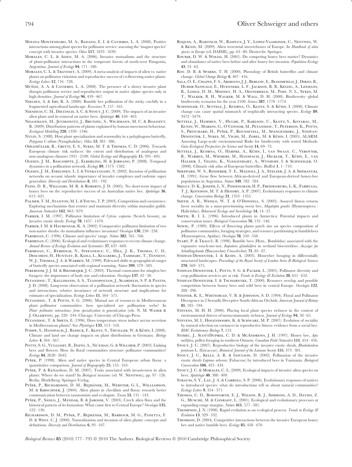- Morales, C. L. & Aizen, M. A. (2006). Invasive mutualisms and the structure of plant-pollinator interactions in the temperate forests of north-west Patagonia, Argentina. *Journal of Ecology* **94**, 171–180.
- Morales, C. L. & Traveset, A. (2009). A meta-analysis of impacts of alien vs. native plants on pollinator visitation and reproductive success of co-flowering native plants. *Ecology Letters* **12**, 716–728.
- MuÑoz, A. A. & CAVIERES, L. A. (2008). The presence of a showy invasive plant disrupts pollinator service and reproductive output in native alpine species only at high densities. *Journal of Ecology* **96**, 459–467.
- Nielsen, A. & Ims, R. A. (2000). Bumble bee pollination of the sticky catchfly in a fragmented agricultural landscape. *Ecoscience* **7**, 157–165.
- NIENHUIS, C. M., DIETZSCH, A. C. & STOUT, J. C. (2009). The impacts of an invasive alien plant and its removal on native bees. *Apidologie* **40**, 450–463.
- Niggemann, M., Jetzkowitz, J., Brunzel, S., Wichmann, M. C. & Bialozyt, R. (2009). Distribution patterns of plants explained by human movement behaviour. *Ecological Modelling* **220**, 1339–1346.
- Nylin, S. (1988). Host plant specialization and seasonality in a polyphagous butterfly, *Polygonia C-album* (Nymphalidae). *Oikos* **53**, 381–386.
- OHLEMÜLLER, R., GRITTI, E. S., SYKES, M. T. & THOMAS, C. D. (2006). Towards European climate risk surfaces: the extent and distribution of analogous and non-analogous climates 1931–2100. *Global Ecology and Biogeography* **15**, 395–405.
- Olesen, J. M., Bascompte, J., Elberling, H. & Jordano, P. (2008). Temporal dynamics in a pollination network. *Ecology* **89**, 1573–1582.
- Olesen, J. M., Eskildsen, L. I. & Venkatasamy, S. (2002). Invasion of pollination networks on oceanic islands: importance of invader complexes and endemic super generalists. *Diversity and Distributions* **8**, 181–192.
- PAINI, D. R., WILLIAMS, M. R. & ROBERTS, J. D. (2005). No short-term impact of honey bees on the reproductive success of an Australian native bee. *Apidologie* **36**, 613–621.
- PALMER, T. M., STANTON, M. L. & YOUNG, T. P. (2003). Competition and coexistence: Exploring mechanisms that restrict and maintain diversity within mutualist guilds. *American Naturalist* **162**, S63–S79.
- Parker, I. M. (1997). Pollinator limitation of *Cytisus scoparius* (Scotch broom), an invasive exotic shrub. *Ecology* **78**, 1457–1470.
- PARKER, I. M. & HAUBENSAK, K. A. (2002). Comparative pollinator limitation of two non-native shrubs: do mutualisms influence invasions? *Oecologia* **130**, 250–258.
- Parmesan, C. (1996). Climate and species' range. *Nature* **382**, 765–766.
- Parmesan, C. (2006). Ecological and evolutionary responses to recent climate change. *Annual Review of Ecology Evolution and Systematics* **37**, 637–669.
- PARMESAN, C., RYRHOLM, N., STEFANESCU, C., HILL, J. K., THOMAS, C. D., Descimon, H., Huntley, B., Kaila, L., Kullberg, J., Tammaru, T., Tennent, W. J., THOMAS, J. A. & WARREN, M. (1999). Poleward shifts in geographical ranges of butterfly species associated with regional warming. *Nature* **399**, 579–583.
- PEREBOOM, J. J. M. & BIESMEIJER, J. C. (2003). Thermal constraints for stingless bee foragers: the importance of body size and coloration. *Oecologia* **137**, 42–50.
- Petanidou, T., Kallimanis, A. S., Tzanopoulos, J., Sgardelis, S. P. & Pantis, J. D. (2008). Long-term observation of a pollination network: fluctuation in species and interactions, relative invariance of network structure and implications for estimates of specialization. *Ecology Letters* **11**, 564–575.
- PETANIDOU, T. & POTTS, S. G. (2006). Mutual use of resources in Mediterranean plant–pollinator communities: how specialized are pollination webs? In *Plant–pollinator interactions: from specialization to generalization* (eds. N. M. Waser & J. Ollerton), pp. 220–244. Chicago: University of Chicago Press.
- PETANIDOU, T. & SMETS, E. (1996). Does temperature stress induce nectar secretion in Mediterranean plants? *New Phytologist* **133**, 513–518.
- POMPE, S., HANSPACH, J., BADECK, F., KLOTZ, S., THUILLER, W. & KÜHN, I. (2008). Climate and land use change impacts on plant distributions in Germany. *Biology Letters* **4**, 564–567.
- POTTS, S. G., VULLIAMY, B., DAFNI, A., NE'EMAN, G. & WILLMER, P. (2003). Linking bees and flowers: How do floral communities structure pollinator communities? *Ecology* **84**, 2628–2642.
- PYŠEK, P. (1998). Alien and native species in Central European urban floras: a quantitative comparison. *Journal of Biogeography* **25**, 155–163.
- PYŠEK, P. & Richardson, D. M. (2007). Traits associated with invasiveness in alien plants: Where do we stand? In *Biological invasions* (ed. W. NENTWIG), pp. 97-126. Berlin, Heidelberg: Springer-Verlag.
- Pyšek, P., Richardson, D. M., Rejmánek, M., Webster, G. L., Williamson, M. & Kirschner, J. (2004). Alien plants in checklists and floras: towards better communication between taxonomists and ecologists. *Taxon* **53**, 131–143.
- PYŠEK, P., SÁDLO, J., MÁNDAK, B. & JAROSIK, V. (2003). Czech alien flora and the historical pattern of its formation: What came first to Central Europe? *Oecologia* **135**, 122–130.
- RICHARDSON, D. M., PYŠEK, P., REJMÁNEK, M., BARBOUR, M. G., PANETTA, F. D. & West, C. J. (2000). Naturalization and invasion of alien plants: concepts and definitions. *Diversity and Distributions* **6**, 93–107.
- Roques, A., Rabitsch, W., Rasplus, J. Y., Lopez-Vaamonde, C., Nentwig, W. & Kenis, M. (2009). Alien terrestrial invertebrates of Europe. In *Handbook of alien species in Europe* (ed. DAISIE), pp. 63–80. Drotrecht: Springer.
- ROUBIK, D. W. & WOLDA, H. (2001). Do competing honey bees matter? Dynamics and abundance of native bees before and after honey bee invasion. *Population Ecology* **43**, 53–62.
- Roy, D. B. & Sparks, T. H. (2000). Phenology of British butterflies and climate change. *Global Change Biology* **6**, 407–416.
- SALA, O. E., CHAPIN, F. S., ARMESTO, J. J., BERLOW, E., BLOOMFIELD, J., DIRZO, R., Huber-Sanwald, E., Huenneke, L. F., Jackson, R. B., Kinzig, A., Leemans, R., Lodge, D. M., Mooney, H. A., Oesterheld, M., Poff, N. L., Sykes, M. T., Walker, B. H., Walker, M. & Wall, D. H. (2000). Biodiversity–global biodiversity scenarios for the year 2100. *Science* **287**, 1770–1774.
- SCHWEIGER, O., SETTELE, J., KUDRNA, O., KLOTZ, S. & KÜHN, I. (2008). Climate change can cause spatial mismatch of trophically interacting species. *Ecology* **89**, 3472–3479.
- SETTELE, J., HAMMEN, V., HULME, P., KARLSON, U., KLOTZ, S., KOTARAC, M., Kunin, W., Marion, G., O'Connor, M., Petanidou, T., Peterson, K., Potts, S., PRITCHARD, H., PYŠEK, P., ROUNSEVELL, M., SPANGENBERG, J., STEFFAN-DEWENTER, I., SYKES, M., VIGHI, M., ZOBEL, M. & KÜHN, I. (2005). ALARM: Assessing Large-scale environmental Risks for biodiversity with tested Methods. *Gaia-Ecological Perspectives for Science and Society* **14**, 69–72.
- SETTELE, L. KUDRNA, O., HARPKE, A., KÜHN, L. VAN SWAAY, C., VEROVNIK, R., WARREN, M., WIEMERS, M., HANSPACH, J., HICKLER, T., KÜHN, E., VAN Halder, I., Veling, K., Vleigenhart, A., Wynhoff, I. & Schweiger, O. (2008). Climatic risk atlas of European butterflies. *BioRisk* **1**, 1–710.
- Sheppard, W. S., Rinderer, T. E., Mazzoli, J. A., Stelzer, J. A. & Shimanuki, H. (1991). Gene flow between African-derived and European-derived honey-bee populations in Argentina. *Nature* **349**, 782–784.
- Skelly, D. K., Joseph, L. N., Possingham, H. P., Freidenburg, L. K., Farrugia, T. J., Kinnison, M. T. & Hendry, A. P. (2007). Evolutionary responses to climate change. *Conservation Biology* **21**, 1353–1355.
- SMITH, A. R., WEISLO, W. T. & O'DONNELL, S. (2003). Assured fitness returns favor sociality in a mass-provisioning sweat bee, *Megalopta genalis* (Hymenoptera : Halictidae). *Behavioral Ecology and Sociobiology* **54**, 14–21.
- SMITH, R. I. L. (1996). Introduced plants in Antarctica: Potential impacts and conservation issues. *Biological Conservation* **76**, 135–146.
- Sowig, P. (1989). Effects of flowering plants patch size on species composition of pollinator communities, foraging strategies, and resource partitioning in bumblebees (Hymenoptera, Apidae). *Oecologia* **78**, 550–558.
- STARÝ, P. & TKALCŮ, B. (1998). Bumble bees (Hym., Bombidae) associated with the expansive touch-me-not, *Impatiens glandulifera* in wetland biocorridors. *Anzeiger fur Schadlingskunde Pflanzenschutz Umweltschutz* **71**, 85–87.
- Steffan-Dewenter, I. & Kuhn, A. (2003). Honeybee foraging in differentially structured landscapes. *Proceedings of the Royal Society of London Series B-Biological Sciences* **270**, 569–575.
- STEFFAN-DEWENTER, I., POTTS, S. G. & PACKER, L. (2005). Pollinator diversity and crop pollination services are at risk. *Trends in Ecology & Evolution* **20**, 651–652.
- STEFFAN-DEWENTER, I. & TSCHARNTKE, T. (2000). Resource overlap and possible competition between honey bees and wild bees in central Europe. *Oecologia* **122**, 288–296.
- STEINER, K. E., WHITEHEAD, V. B. & JOHNSON, S. D. (1994). Floral and Pollinator Divergence in 2 Sexually Deceptive South-African Orchids. *American Journal of Botany* **81**, 185–194.
- Stevens, M. H. H. (2006). Placing local plant species richness in the context of environmental drivers of metacommunity richness. *Journal of Ecology* **94**, 58–65.
- Stevens, M. I., Hogendoorn, K. & Schwarz, M. P. (2007). Evolution of sociality by natural selection on variances in reproductive fitness: evidence from a social bee. *BMC Evolutionary Biology* **7**, 153.
- Stimec, J., ScottDupree, C. D. & McAndrews, J. H. (1997). Honey bee, *Apis mellifera*, pollen foraging in southern Ontario. *Canadian Field-Naturalist* **111**, 454–456.
- Stout, J. C. (2007). Reproductive biology of the invasive exotic shrub, *Rhododendron ponticum* L. (Ericaceae). *Botanical Journal of the Linnean Society* **155**, 373–381.
- Stout, J. C., Kells, A. R. & Goulson, D. (2002). Pollination of the invasive exotic shrub *Lupinus arboreus* (Fabaceae) by introduced bees in Tasmania. *Biological Conservation* **106**, 425–434.
- Stout, J. C. & Morales, C. L. (2009). Ecological impacts of invasive alien species on bees. *Apidologie* **40**, 388–409.
- Strauss, S. Y., Lau, J. A. & Carroll, S. P. (2006). Evolutionary responses of natives to introduced species: what do introductions tell us about natural communities? *Ecology Letters* **9**, 354–371.
- Thomas, C. D., Bodsworth, E. J., Wilson, R. J., Simmons, A. D., Davies, Z. G., MUSCHE, M. & CONRADT, L. (2001). Ecological and evolutionary processes at expanding range margins. *Nature* **411**, 577–581.
- Thompson, J. N. (1998). Rapid evolution as an ecological process. *Trends in Ecology & Evolution* **13**, 329–332.
- Thomson, D. (2004). Competitive interactions between the invasive European honey bee and native bumble bees. *Ecology* **85**, 458–470.

*Biological Reviews* **85** (2010) 777–795 © 2010 The Authors. Biological Reviews © 2010 Cambridge Philosophical Society